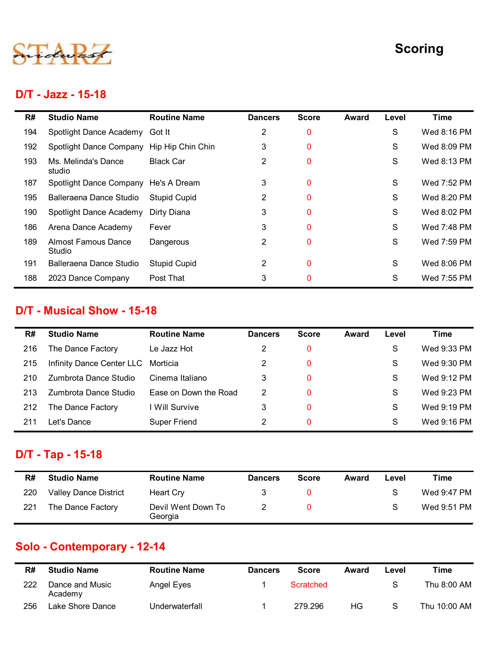

#### D/T - Jazz - 15-18

|     |                                           |                       |                |              |              |       | <b>Scoring</b> |
|-----|-------------------------------------------|-----------------------|----------------|--------------|--------------|-------|----------------|
|     | D/T - Jazz - 15-18                        |                       |                |              |              |       |                |
| R#  | <b>Studio Name</b>                        | <b>Routine Name</b>   | <b>Dancers</b> | <b>Score</b> | <b>Award</b> | Level | <b>Time</b>    |
| 194 | Spotlight Dance Academy                   | Got It                | 2              | $\mathbf 0$  |              | S     | Wed 8:16 PM    |
| 192 | Spotlight Dance Company Hip Hip Chin Chin |                       | 3              | $\mathbf 0$  |              | S     | Wed 8:09 PM    |
| 193 | Ms. Melinda's Dance<br>studio             | <b>Black Car</b>      | $\overline{2}$ | $\mathbf 0$  |              | S     | Wed 8:13 PM    |
| 187 | Spotlight Dance Company He's A Dream      |                       | 3              | $\mathbf 0$  |              | S     | Wed 7:52 PM    |
| 195 | Balleraena Dance Studio                   | <b>Stupid Cupid</b>   | $\overline{2}$ | $\mathbf 0$  |              | S     | Wed 8:20 PM    |
| 190 | Spotlight Dance Academy                   | Dirty Diana           | 3              | $\mathbf 0$  |              | S     | Wed 8:02 PM    |
| 186 | Arena Dance Academy                       | Fever                 | 3              | $\mathbf 0$  |              | S     | Wed 7:48 PM    |
| 189 | <b>Almost Famous Dance</b><br>Studio      | Dangerous             | $\overline{2}$ | $\mathbf 0$  |              | S     | Wed 7:59 PM    |
| 191 | Balleraena Dance Studio                   | <b>Stupid Cupid</b>   | $\overline{2}$ | $\mathbf 0$  |              | S     | Wed 8:06 PM    |
| 188 | 2023 Dance Company                        | Post That             | 3              | $\pmb{0}$    |              | S     | Wed 7:55 PM    |
|     | D/T - Musical Show - 15-18                |                       |                |              |              |       |                |
| R#  | <b>Studio Name</b>                        | <b>Routine Name</b>   | <b>Dancers</b> | <b>Score</b> | <b>Award</b> | Level | <b>Time</b>    |
| 216 | The Dance Factory                         | Le Jazz Hot           | 2              | $\mathbf 0$  |              | S     | Wed 9:33 PM    |
| 215 | Infinity Dance Center LLC Morticia        |                       | $\overline{2}$ | $\mathbf 0$  |              | S     | Wed 9:30 PM    |
| 210 | Zumbrota Dance Studio                     | Cinema Italiano       | 3              | $\mathbf 0$  |              | S     | Wed 9:12 PM    |
| 213 | Zumbrota Dance Studio                     | Ease on Down the Road | $\overline{2}$ | $\mathbf 0$  |              | S     | Wed 9:23 PM    |
| 212 | The Dance Factory                         | I Will Survive        | 3              | $\mathbf 0$  |              | S     | Wed 9:19 PM    |
|     |                                           |                       |                |              |              |       |                |

#### D/T - Musical Show - 15-18

| 195 | Balleraena Dance Studio              | <b>Stupid Cupid</b>           | 2              | $\mathbf 0$      |              | S             | Wed 8:20 PM  |
|-----|--------------------------------------|-------------------------------|----------------|------------------|--------------|---------------|--------------|
| 190 | Spotlight Dance Academy              | Dirty Diana                   | 3              | $\mathbf 0$      |              | S             | Wed 8:02 PM  |
| 186 | Arena Dance Academy                  | Fever                         | 3              | $\mathbf 0$      |              | S             | Wed 7:48 PM  |
| 189 | <b>Almost Famous Dance</b><br>Studio | Dangerous                     | 2              | $\mathbf 0$      |              | S             | Wed 7:59 PM  |
| 191 | Balleraena Dance Studio              | <b>Stupid Cupid</b>           | $\overline{2}$ | $\mathbf 0$      |              | S             | Wed 8:06 PM  |
| 188 | 2023 Dance Company                   | Post That                     | 3              | $\mathbf 0$      |              | S             | Wed 7:55 PM  |
|     | <b>D/T - Musical Show - 15-18</b>    |                               |                |                  |              |               |              |
| R#  | <b>Studio Name</b>                   | <b>Routine Name</b>           | <b>Dancers</b> | <b>Score</b>     | <b>Award</b> | Level         | <b>Time</b>  |
| 216 | The Dance Factory                    | Le Jazz Hot                   | 2              | $\bf{0}$         |              | S             | Wed 9:33 PM  |
| 215 | Infinity Dance Center LLC            | Morticia                      | $\overline{2}$ | $\mathbf 0$      |              | S             | Wed 9:30 PM  |
| 210 | Zumbrota Dance Studio                | Cinema Italiano               | 3              | $\mathbf 0$      |              | S             | Wed 9:12 PM  |
| 213 | Zumbrota Dance Studio                | Ease on Down the Road         | $\overline{2}$ | $\mathbf 0$      |              | S             | Wed 9:23 PM  |
| 212 | The Dance Factory                    | I Will Survive                | 3              | $\mathbf 0$      |              | S             | Wed 9:19 PM  |
| 211 | Let's Dance                          | <b>Super Friend</b>           | $\overline{2}$ | $\mathbf 0$      |              | S             | Wed 9:16 PM  |
|     | D/T - Tap - 15-18                    |                               |                |                  |              |               |              |
| R#  | <b>Studio Name</b>                   | <b>Routine Name</b>           | <b>Dancers</b> | <b>Score</b>     | <b>Award</b> | Level         | <b>Time</b>  |
| 220 | <b>Valley Dance District</b>         | <b>Heart Cry</b>              | 3              | $\bf{0}$         |              | S             | Wed 9:47 PM  |
| 221 | The Dance Factory                    | Devil Went Down To<br>Georgia | 2              | $\bf{0}$         |              | S             | Wed 9:51 PM  |
|     | Solo - Contemporary - 12-14          |                               |                |                  |              |               |              |
| R#  | <b>Studio Name</b>                   | <b>Routine Name</b>           | <b>Dancers</b> | <b>Score</b>     | <b>Award</b> | Level         | <b>Time</b>  |
| 222 | Dance and Music<br>Academy           | Angel Eyes                    | 1              | <b>Scratched</b> |              | ${\mathsf S}$ | Thu 8:00 AM  |
| 256 | Lake Shore Dance                     | Underwaterfall                | -1             | 279.296          | HG           | S             | Thu 10:00 AM |
|     |                                      |                               |                |                  |              |               |              |
|     |                                      |                               |                |                  |              |               |              |

## D/T - Tap - 15-18

| د ا ے | Lullibroid Darice Studio     | Ease OII DOWN LIFE ROAD       | $\epsilon$     |              |              | ◡             | <b>VVEU 9.20 FIVI</b> |
|-------|------------------------------|-------------------------------|----------------|--------------|--------------|---------------|-----------------------|
| 212   | The Dance Factory            | I Will Survive                | 3              | $\pmb{0}$    |              | S             | Wed 9:19 PM           |
| 211   | Let's Dance                  | Super Friend                  | $\overline{2}$ | $\pmb{0}$    |              | S             | Wed 9:16 PM           |
|       |                              |                               |                |              |              |               |                       |
|       | D/T - Tap - 15-18            |                               |                |              |              |               |                       |
| R#    | <b>Studio Name</b>           | <b>Routine Name</b>           | <b>Dancers</b> | <b>Score</b> | <b>Award</b> | Level         | <b>Time</b>           |
|       |                              |                               |                |              |              |               |                       |
| 220   | <b>Valley Dance District</b> | <b>Heart Cry</b>              | 3              | $\pmb{0}$    |              | S             | Wed 9:47 PM           |
| 221   | The Dance Factory            | Devil Went Down To<br>Georgia | $\overline{2}$ | $\bf{0}$     |              | S             | Wed 9:51 PM           |
|       |                              |                               |                |              |              |               |                       |
|       | Solo - Contemporary - 12-14  |                               |                |              |              |               |                       |
| R#    | <b>Studio Name</b>           | <b>Routine Name</b>           | <b>Dancers</b> | <b>Score</b> | <b>Award</b> | Level         | <b>Time</b>           |
| 222   | Dance and Music<br>Academy   | Angel Eyes                    | $\mathbf 1$    | Scratched    |              | ${\mathsf S}$ | Thu 8:00 AM           |

# Solo - Contemporary - 12-14

| R#  | <b>Studio Name</b>         | <b>Routine Name</b> | <b>Dancers</b> | <b>Score</b> | Award | Level | Time         |
|-----|----------------------------|---------------------|----------------|--------------|-------|-------|--------------|
| 222 | Dance and Music<br>Academy | Angel Eyes          |                | Scratched    |       | S     | Thu 8:00 AM  |
| 256 | Lake Shore Dance           | Underwaterfall      |                | 279.296      | ΗG    | S     | Thu 10:00 AM |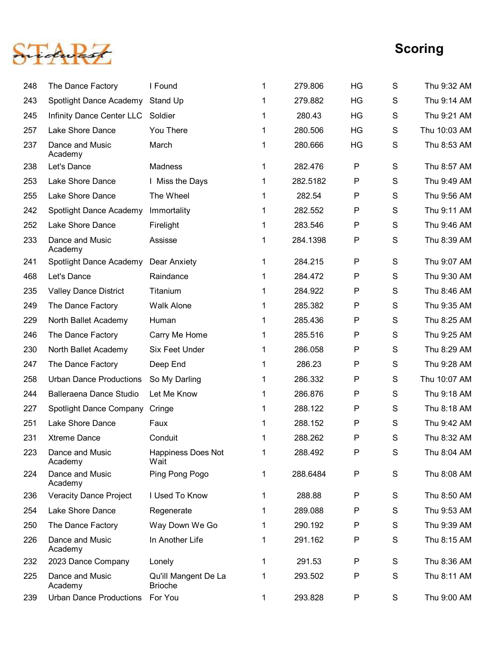

|     |                                |                                        |              |          |              |               | <b>Scoring</b> |
|-----|--------------------------------|----------------------------------------|--------------|----------|--------------|---------------|----------------|
| 248 | The Dance Factory              | I Found                                | 1            | 279.806  | HG           | S             | Thu 9:32 AM    |
| 243 | Spotlight Dance Academy        | Stand Up                               | 1            | 279.882  | HG           | S             | Thu 9:14 AM    |
| 245 | Infinity Dance Center LLC      | Soldier                                | 1            | 280.43   | HG           | S             | Thu 9:21 AM    |
| 257 | Lake Shore Dance               | You There                              | 1            | 280.506  | HG           | S             | Thu 10:03 AM   |
| 237 | Dance and Music<br>Academy     | March                                  | 1            | 280.666  | HG           | S             | Thu 8:53 AM    |
| 238 | Let's Dance                    | Madness                                |              | 282.476  | ${\sf P}$    | $\mathsf S$   | Thu 8:57 AM    |
| 253 | Lake Shore Dance               | Miss the Days                          |              | 282.5182 | ${\sf P}$    | S             | Thu 9:49 AM    |
| 255 | Lake Shore Dance               | The Wheel                              | 1            | 282.54   | ${\sf P}$    | S             | Thu 9:56 AM    |
| 242 | Spotlight Dance Academy        | Immortality                            |              | 282.552  | ${\sf P}$    | S             | Thu 9:11 AM    |
| 252 | Lake Shore Dance               | Firelight                              |              | 283.546  | ${\sf P}$    | S             | Thu 9:46 AM    |
| 233 | Dance and Music<br>Academy     | Assisse                                |              | 284.1398 | P            | S             | Thu 8:39 AM    |
| 241 | Spotlight Dance Academy        | Dear Anxiety                           |              | 284.215  | P            | ${\mathsf S}$ | Thu 9:07 AM    |
| 468 | Let's Dance                    | Raindance                              |              | 284.472  | P            | ${\mathsf S}$ | Thu 9:30 AM    |
| 235 | <b>Valley Dance District</b>   | Titanium                               |              | 284.922  | $\mathsf{P}$ | ${\mathsf S}$ | Thu 8:46 AM    |
| 249 | The Dance Factory              | <b>Walk Alone</b>                      |              | 285.382  | $\mathsf{P}$ | S             | Thu 9:35 AM    |
| 229 | North Ballet Academy           | Human                                  |              | 285.436  | $\mathsf{P}$ | ${\mathsf S}$ | Thu 8:25 AM    |
| 246 | The Dance Factory              | Carry Me Home                          |              | 285.516  | P            | ${\mathsf S}$ | Thu 9:25 AM    |
| 230 | North Ballet Academy           | Six Feet Under                         |              | 286.058  | $\mathsf{P}$ | ${\mathsf S}$ | Thu 8:29 AM    |
| 247 | The Dance Factory              | Deep End                               |              | 286.23   | $\mathsf{P}$ | ${\mathsf S}$ | Thu 9:28 AM    |
| 258 | <b>Urban Dance Productions</b> | So My Darling                          |              | 286.332  | $\mathsf{P}$ | S             | Thu 10:07 AM   |
| 244 | Balleraena Dance Studio        | Let Me Know                            |              | 286.876  | $\mathsf{P}$ | S             | Thu 9:18 AM    |
| 227 | Spotlight Dance Company        | Cringe                                 |              | 288.122  | $\mathsf{P}$ | ${\mathsf S}$ | Thu 8:18 AM    |
| 251 | Lake Shore Dance               | Faux                                   |              | 288.152  | P            | ${\mathsf S}$ | Thu 9:42 AM    |
| 231 | <b>Xtreme Dance</b>            | Conduit                                |              | 288.262  | $\mathsf{P}$ | ${\mathsf S}$ | Thu 8:32 AM    |
| 223 | Dance and Music<br>Academy     | Happiness Does Not<br>Wait             | 1            | 288.492  | $\mathsf{P}$ | S             | Thu 8:04 AM    |
| 224 | Dance and Music<br>Academy     | Ping Pong Pogo                         | 1            | 288.6484 | ${\sf P}$    | S             | Thu 8:08 AM    |
| 236 | <b>Veracity Dance Project</b>  | I Used To Know                         | 1            | 288.88   | ${\sf P}$    | S             | Thu 8:50 AM    |
| 254 | Lake Shore Dance               | Regenerate                             | 1            | 289.088  | $\mathsf{P}$ | S             | Thu 9:53 AM    |
| 250 | The Dance Factory              | Way Down We Go                         | 1            | 290.192  | $\mathsf{P}$ | S             | Thu 9:39 AM    |
| 226 | Dance and Music<br>Academy     | In Another Life                        | 1            | 291.162  | $\mathsf{P}$ | $\mathsf{S}$  | Thu 8:15 AM    |
| 232 | 2023 Dance Company             | Lonely                                 | 1            | 291.53   | ${\sf P}$    | S             | Thu 8:36 AM    |
| 225 | Dance and Music<br>Academy     | Qu'ill Mangent De La<br><b>Brioche</b> | $\mathbf{1}$ | 293.502  | ${\sf P}$    | S             | Thu 8:11 AM    |
| 239 | <b>Urban Dance Productions</b> | For You                                | 1            | 293.828  | ${\sf P}$    | S             | Thu 9:00 AM    |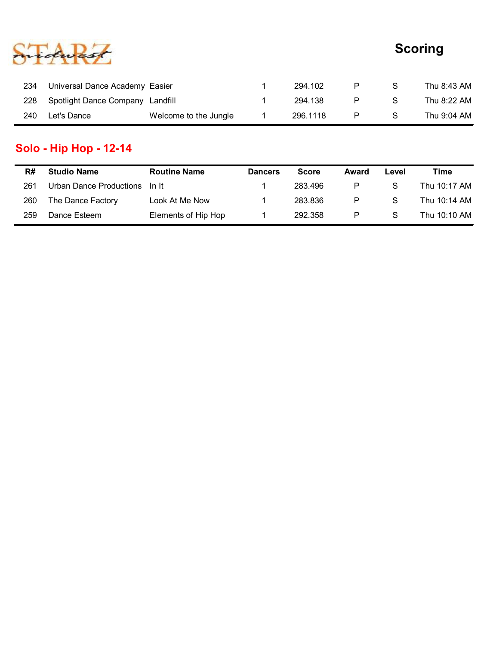

|     |                                  |              |         |              |   | <b>Scoring</b> |
|-----|----------------------------------|--------------|---------|--------------|---|----------------|
|     |                                  |              |         |              |   |                |
| 234 | Universal Dance Academy Easier   | $\mathbf{1}$ | 294.102 | P            | S | Thu 8:43 AM    |
| 228 | Spotlight Dance Company Landfill | $\mathbf{1}$ | 294.138 | $\mathsf{P}$ | S | Thu 8:22 AM    |

# Solo - Hip Hop - 12-14

|     |                                  |                       |                |              |              |               | <b>Scoring</b> |
|-----|----------------------------------|-----------------------|----------------|--------------|--------------|---------------|----------------|
| 234 | Universal Dance Academy Easier   |                       |                | 294.102      | $\mathsf{P}$ | ${\mathsf S}$ | Thu 8:43 AM    |
| 228 | Spotlight Dance Company Landfill |                       |                | 294.138      | $\mathsf{P}$ | ${\mathsf S}$ | Thu 8:22 AM    |
| 240 | Let's Dance                      | Welcome to the Jungle | 1              | 296.1118     | $\mathsf{P}$ | $\mathsf S$   | Thu 9:04 AM    |
|     | <b>Solo - Hip Hop - 12-14</b>    |                       |                |              |              |               |                |
| R#  | <b>Studio Name</b>               | <b>Routine Name</b>   | <b>Dancers</b> | <b>Score</b> | <b>Award</b> | Level         | <b>Time</b>    |
| 261 | <b>Urban Dance Productions</b>   | In It                 | 1              | 283.496      | $\mathsf{P}$ | ${\mathsf S}$ | Thu 10:17 AM   |
|     | The Dance Factory                | Look At Me Now        | 1              | 283.836      | $\mathsf{P}$ | ${\mathsf S}$ | Thu 10:14 AM   |
| 260 |                                  | Elements of Hip Hop   |                | 292.358      | $\mathsf{P}$ | ${\mathsf S}$ | Thu 10:10 AM   |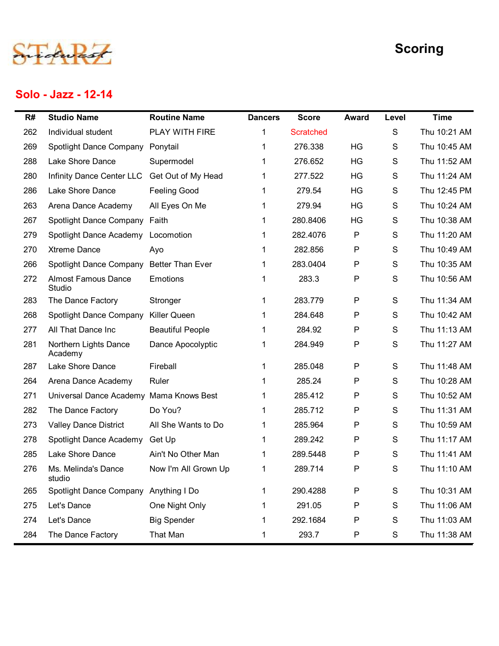

#### Solo - Jazz - 12-14

|     | Solo - Jazz - 12-14                      |                         |                |                  |              |       | <b>Scoring</b> |
|-----|------------------------------------------|-------------------------|----------------|------------------|--------------|-------|----------------|
| R#  | <b>Studio Name</b>                       | <b>Routine Name</b>     | <b>Dancers</b> | <b>Score</b>     | <b>Award</b> | Level | <b>Time</b>    |
| 262 | Individual student                       | PLAY WITH FIRE          | 1              | <b>Scratched</b> |              | S     | Thu 10:21 AM   |
| 269 | <b>Spotlight Dance Company</b>           | Ponytail                | 1              | 276.338          | HG           | S     | Thu 10:45 AM   |
| 288 | Lake Shore Dance                         | Supermodel              | 1              | 276.652          | HG           | S     | Thu 11:52 AM   |
| 280 | Infinity Dance Center LLC                | Get Out of My Head      | 1              | 277.522          | HG           | S     | Thu 11:24 AM   |
| 286 | Lake Shore Dance                         | <b>Feeling Good</b>     | 1              | 279.54           | HG           | S     | Thu 12:45 PM   |
| 263 | Arena Dance Academy                      | All Eyes On Me          | 1.             | 279.94           | HG           | S     | Thu 10:24 AM   |
| 267 | Spotlight Dance Company Faith            |                         | 1.             | 280.8406         | HG           | S     | Thu 10:38 AM   |
| 279 | Spotlight Dance Academy                  | Locomotion              |                | 282.4076         | P            | S     | Thu 11:20 AM   |
| 270 | <b>Xtreme Dance</b>                      | Ayo                     |                | 282.856          | P            | S     | Thu 10:49 AM   |
| 266 | Spotlight Dance Company Better Than Ever |                         |                | 283.0404         | P            | S     | Thu 10:35 AM   |
| 272 | <b>Almost Famous Dance</b><br>Studio     | Emotions                | 1              | 283.3            | P            | S     | Thu 10:56 AM   |
| 283 | The Dance Factory                        | Stronger                | $\mathbf 1$    | 283.779          | P            | S     | Thu 11:34 AM   |
| 268 | Spotlight Dance Company                  | Killer Queen            |                | 284.648          | P            | S     | Thu 10:42 AM   |
| 277 | All That Dance Inc                       | <b>Beautiful People</b> |                | 284.92           | P            | S     | Thu 11:13 AM   |
| 281 | Northern Lights Dance<br>Academy         | Dance Apocolyptic       |                | 284.949          | $\mathsf{P}$ | S     | Thu 11:27 AM   |
| 287 | Lake Shore Dance                         | Fireball                |                | 285.048          | P            | S     | Thu 11:48 AM   |
| 264 | Arena Dance Academy                      | Ruler                   |                | 285.24           | P            | S     | Thu 10:28 AM   |
| 271 | Universal Dance Academy Mama Knows Best  |                         |                | 285.412          | P            | S     | Thu 10:52 AM   |
| 282 | The Dance Factory                        | Do You?                 | 1              | 285.712          | P            | S     | Thu 11:31 AM   |
| 273 | <b>Valley Dance District</b>             | All She Wants to Do     | 1              | 285.964          | P            | S     | Thu 10:59 AM   |
| 278 | Spotlight Dance Academy                  | Get Up                  | 1              | 289.242          | P            | S     | Thu 11:17 AM   |
| 285 | Lake Shore Dance                         | Ain't No Other Man      | 1              | 289.5448         | P            | S     | Thu 11:41 AM   |
| 276 | Ms. Melinda's Dance<br>studio            | Now I'm All Grown Up    | $\mathbf{1}$   | 289.714          | $\mathsf{P}$ | S     | Thu 11:10 AM   |
| 265 | Spotlight Dance Company                  | Anything I Do           | $\mathbf{1}$   | 290.4288         | P            | S     | Thu 10:31 AM   |
| 275 | Let's Dance                              | One Night Only          | 1              | 291.05           | P            | S     | Thu 11:06 AM   |
| 274 | Let's Dance                              | <b>Big Spender</b>      | 1              | 292.1684         | P            | S     | Thu 11:03 AM   |
| 284 | The Dance Factory                        | That Man                |                | 293.7            | P            | S     | Thu 11:38 AM   |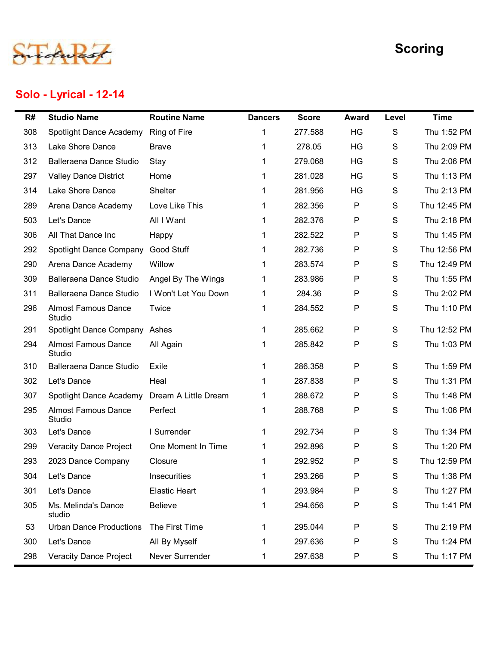

# Solo - Lyrical - 12-14

|     |                                      |                      |                |              |              |       | <b>Scoring</b> |
|-----|--------------------------------------|----------------------|----------------|--------------|--------------|-------|----------------|
|     | Solo - Lyrical - 12-14               |                      |                |              |              |       |                |
| R#  | <b>Studio Name</b>                   | <b>Routine Name</b>  | <b>Dancers</b> | <b>Score</b> | <b>Award</b> | Level | <b>Time</b>    |
| 308 | Spotlight Dance Academy              | Ring of Fire         |                | 277.588      | HG           | S     | Thu 1:52 PM    |
| 313 | Lake Shore Dance                     | <b>Brave</b>         |                | 278.05       | HG           | S     | Thu 2:09 PM    |
| 312 | Balleraena Dance Studio              | Stay                 |                | 279.068      | HG           | S     | Thu 2:06 PM    |
| 297 | <b>Valley Dance District</b>         | Home                 |                | 281.028      | HG           | S     | Thu 1:13 PM    |
| 314 | Lake Shore Dance                     | Shelter              |                | 281.956      | HG           | S     | Thu 2:13 PM    |
| 289 | Arena Dance Academy                  | Love Like This       |                | 282.356      | P            | S     | Thu 12:45 PM   |
| 503 | Let's Dance                          | All I Want           |                | 282.376      | P            | S     | Thu 2:18 PM    |
| 306 | All That Dance Inc                   | Happy                |                | 282.522      | P            | S     | Thu 1:45 PM    |
| 292 | Spotlight Dance Company              | Good Stuff           |                | 282.736      | P            | S     | Thu 12:56 PM   |
| 290 | Arena Dance Academy                  | Willow               |                | 283.574      | P            | S     | Thu 12:49 PM   |
| 309 | Balleraena Dance Studio              | Angel By The Wings   | 1              | 283.986      | P            | S     | Thu 1:55 PM    |
| 311 | Balleraena Dance Studio              | I Won't Let You Down | 1              | 284.36       | P            | S     | Thu 2:02 PM    |
| 296 | <b>Almost Famous Dance</b><br>Studio | Twice                | 1              | 284.552      | P            | S     | Thu 1:10 PM    |
| 291 | Spotlight Dance Company Ashes        |                      |                | 285.662      | P            | S     | Thu 12:52 PM   |
| 294 | <b>Almost Famous Dance</b><br>Studio | All Again            |                | 285.842      | P            | S     | Thu 1:03 PM    |
| 310 | Balleraena Dance Studio              | Exile                |                | 286.358      | P            | S     | Thu 1:59 PM    |
| 302 | Let's Dance                          | Heal                 |                | 287.838      | P            | S     | Thu 1:31 PM    |
| 307 | Spotlight Dance Academy              | Dream A Little Dream |                | 288.672      | P            | S     | Thu 1:48 PM    |
| 295 | <b>Almost Famous Dance</b><br>Studio | Perfect              | 1              | 288.768      | P            | S     | Thu 1:06 PM    |
| 303 | Let's Dance                          | I Surrender          | 1              | 292.734      | P            | S     | Thu 1:34 PM    |
| 299 | <b>Veracity Dance Project</b>        | One Moment In Time   | $\mathbf 1$    | 292.896      | P            | S     | Thu 1:20 PM    |
| 293 | 2023 Dance Company                   | Closure              | 1              | 292.952      | P            | S     | Thu 12:59 PM   |
| 304 | Let's Dance                          | Insecurities         |                | 293.266      | P            | S     | Thu 1:38 PM    |
| 301 | Let's Dance                          | <b>Elastic Heart</b> |                | 293.984      | P            | S     | Thu 1:27 PM    |
| 305 | Ms. Melinda's Dance<br>studio        | Believe              | 1              | 294.656      | P            | S     | Thu 1:41 PM    |
| 53  | <b>Urban Dance Productions</b>       | The First Time       |                | 295.044      | P            | S     | Thu 2:19 PM    |
| 300 | Let's Dance                          | All By Myself        |                | 297.636      | P            | S     | Thu 1:24 PM    |
| 298 | <b>Veracity Dance Project</b>        | Never Surrender      |                | 297.638      | P            | S     | Thu 1:17 PM    |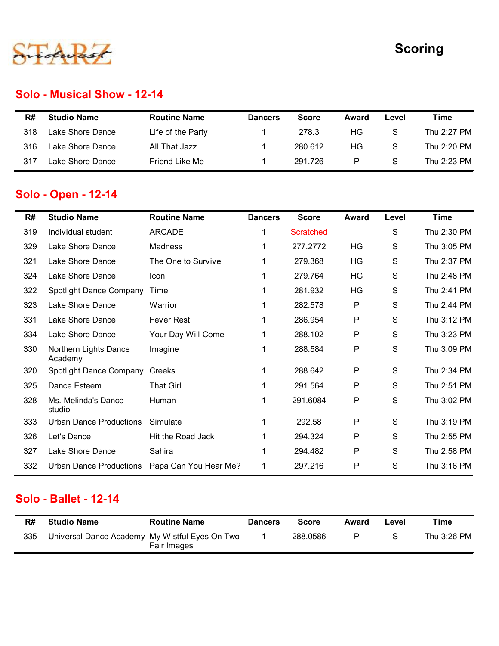

#### Solo - Musical Show - 12-14

|     |                             |                     |                |              |       |               | <b>Scoring</b> |
|-----|-----------------------------|---------------------|----------------|--------------|-------|---------------|----------------|
|     |                             |                     |                |              |       |               |                |
|     |                             |                     |                |              |       |               |                |
|     | Solo - Musical Show - 12-14 |                     |                |              |       |               |                |
| R#  | <b>Studio Name</b>          | <b>Routine Name</b> | <b>Dancers</b> | <b>Score</b> | Award | Level         | <b>Time</b>    |
| 318 | Lake Shore Dance            | Life of the Party   | -1             | 278.3        | HG    | ${\mathsf S}$ | Thu 2:27 PM    |
| 316 | Lake Shore Dance            | All That Jazz       | -1             | 280.612      | HG    | S             | Thu 2:20 PM    |

## Solo - Open - 12-14

|     |                                                |                       |                |                  |              |       | <b>Scoring</b> |
|-----|------------------------------------------------|-----------------------|----------------|------------------|--------------|-------|----------------|
|     | <b>Solo - Musical Show - 12-14</b>             |                       |                |                  |              |       |                |
| R#  | <b>Studio Name</b>                             | <b>Routine Name</b>   | <b>Dancers</b> | <b>Score</b>     | Award        | Level | <b>Time</b>    |
| 318 | Lake Shore Dance                               | Life of the Party     |                | 278.3            | HG           | S     | Thu 2:27 PM    |
| 316 | Lake Shore Dance                               | All That Jazz         |                | 280.612          | HG           | S     | Thu 2:20 PM    |
| 317 | Lake Shore Dance                               | Friend Like Me        |                | 291.726          | P            | S     | Thu 2:23 PM    |
|     | Solo - Open - 12-14                            |                       |                |                  |              |       |                |
| R#  | <b>Studio Name</b>                             | <b>Routine Name</b>   | <b>Dancers</b> | <b>Score</b>     | <b>Award</b> | Level | <b>Time</b>    |
| 319 | Individual student                             | <b>ARCADE</b>         | 1              | <b>Scratched</b> |              | S     | Thu 2:30 PM    |
| 329 | Lake Shore Dance                               | Madness               |                | 277.2772         | HG           | S     | Thu 3:05 PM    |
| 321 | Lake Shore Dance                               | The One to Survive    | 1              | 279.368          | HG           | S     | Thu 2:37 PM    |
| 324 | Lake Shore Dance                               | Icon                  |                | 279.764          | HG           | S     | Thu 2:48 PM    |
| 322 | Spotlight Dance Company                        | Time                  |                | 281.932          | HG           | S     | Thu 2:41 PM    |
| 323 | Lake Shore Dance                               | Warrior               |                | 282.578          | P            | S     | Thu 2:44 PM    |
| 331 | Lake Shore Dance                               | <b>Fever Rest</b>     |                | 286.954          | P            | S     | Thu 3:12 PM    |
| 334 | Lake Shore Dance                               | Your Day Will Come    |                | 288.102          | P            | S     | Thu 3:23 PM    |
| 330 | Northern Lights Dance<br>Academy               | Imagine               | 1              | 288.584          | P            | S     | Thu 3:09 PM    |
| 320 | Spotlight Dance Company Creeks                 |                       |                | 288.642          | P            | S     | Thu 2:34 PM    |
| 325 | Dance Esteem                                   | <b>That Girl</b>      |                | 291.564          | P            | S     | Thu 2:51 PM    |
| 328 | Ms. Melinda's Dance<br>studio                  | Human                 |                | 291.6084         | P            | S     | Thu 3:02 PM    |
| 333 | <b>Urban Dance Productions</b>                 | Simulate              |                | 292.58           | P            | S     | Thu 3:19 PM    |
| 326 | Let's Dance                                    | Hit the Road Jack     |                | 294.324          | P            | S     | Thu 2:55 PM    |
| 327 | Lake Shore Dance                               | Sahira                |                | 294.482          | P            | S     | Thu 2:58 PM    |
| 332 | Urban Dance Productions                        | Papa Can You Hear Me? | 1              | 297.216          | P            | S     | Thu 3:16 PM    |
|     | Solo - Ballet - 12-14                          |                       |                |                  |              |       |                |
| R#  | <b>Studio Name</b>                             | <b>Routine Name</b>   | <b>Dancers</b> | <b>Score</b>     | Award        | Level | <b>Time</b>    |
| 335 | Universal Dance Academy My Wistful Eyes On Two | Fair Images           | 1              | 288.0586         | P            | S     | Thu 3:26 PM    |

#### Solo - Ballet - 12-14

| R#  | <b>Studio Name</b>                             | <b>Routine Name</b> | <b>Dancers</b> | Score    | Award | ∟evel | ™ime        |
|-----|------------------------------------------------|---------------------|----------------|----------|-------|-------|-------------|
| 335 | Universal Dance Academy My Wistful Eyes On Two | Fair Images         |                | 288.0586 | P     | -S    | Thu 3:26 PM |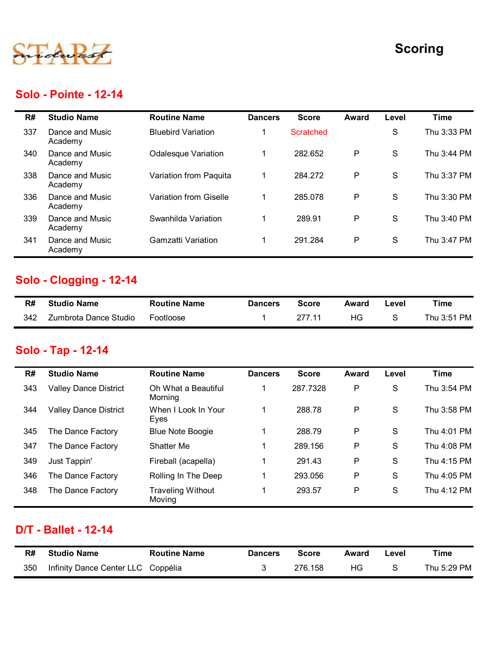

#### Solo - Pointe - 12-14

|     |                              |                                |                |                  |              |               | <b>Scoring</b> |
|-----|------------------------------|--------------------------------|----------------|------------------|--------------|---------------|----------------|
|     | <b>Solo - Pointe - 12-14</b> |                                |                |                  |              |               |                |
| R#  | <b>Studio Name</b>           | <b>Routine Name</b>            | <b>Dancers</b> | <b>Score</b>     | <b>Award</b> | Level         | <b>Time</b>    |
| 337 | Dance and Music<br>Academy   | <b>Bluebird Variation</b>      | -1             | <b>Scratched</b> |              | S             | Thu 3:33 PM    |
| 340 | Dance and Music<br>Academy   | <b>Odalesque Variation</b>     | $\mathbf{1}$   | 282.652          | $\mathsf P$  | $\mathsf{s}$  | Thu 3:44 PM    |
| 338 | Dance and Music<br>Academy   | Variation from Paquita         | $\mathbf{1}$   | 284.272          | P            | S             | Thu 3:37 PM    |
| 336 | Dance and Music<br>Academy   | Variation from Giselle         | $\mathbf{1}$   | 285.078          | $\mathsf P$  | S             | Thu 3:30 PM    |
| 339 | Dance and Music<br>Academy   | Swanhilda Variation            | $\mathbf{1}$   | 289.91           | $\mathsf P$  | S             | Thu 3:40 PM    |
| 341 | Dance and Music<br>Academy   | <b>Gamzatti Variation</b>      | $\mathbf{1}$   | 291.284          | $\mathsf P$  | S             | Thu 3:47 PM    |
|     | Solo - Clogging - 12-14      |                                |                |                  |              |               |                |
| R#  | <b>Studio Name</b>           | <b>Routine Name</b>            | <b>Dancers</b> | <b>Score</b>     | <b>Award</b> | Level         | <b>Time</b>    |
| 342 | Zumbrota Dance Studio        | Footloose                      | $\mathbf{1}$   | 277.11           | HG           | S             | Thu 3:51 PM    |
|     | Solo - Tap - 12-14           |                                |                |                  |              |               |                |
| R#  | <b>Studio Name</b>           | <b>Routine Name</b>            | <b>Dancers</b> | <b>Score</b>     | <b>Award</b> | Level         | <b>Time</b>    |
| 343 | <b>Valley Dance District</b> | Oh What a Beautiful<br>Morning | $\mathbf{1}$   | 287.7328         | ${\sf P}$    | ${\mathsf S}$ | Thu 3:54 PM    |
| 344 | <b>Valley Dance District</b> | When I Look In Your<br>Eyes    | $\mathbf{1}$   | 288.78           | P            | S             | Thu 3:58 PM    |
|     | The Dance Factory            | <b>Blue Note Boogie</b>        | $\mathbf{1}$   | 288.79           | P            | S             | Thu 4:01 PM    |

## Solo - Clogging - 12-14

| R#  | <b>Studio Name</b>    | <b>Routine Name</b> | <b>Dancers</b> | Score  | Award | ∟evel | Time        |
|-----|-----------------------|---------------------|----------------|--------|-------|-------|-------------|
| 342 | Zumbrota Dance Studio | Footloose           |                | 977 11 | ΗG    |       | Thu 3:51 PM |

#### Solo - Tap - 12-14

| კახ | Dance and Music<br>Academy         | variation from Giselle             | п.             | 285.078      | ۲            | $\circ$       | Thu 3:30 PM |
|-----|------------------------------------|------------------------------------|----------------|--------------|--------------|---------------|-------------|
| 339 | Dance and Music<br>Academy         | Swanhilda Variation                | $\mathbf{1}$   | 289.91       | $\mathsf P$  | $\mathbf S$   | Thu 3:40 PM |
| 341 | Dance and Music<br>Academy         | <b>Gamzatti Variation</b>          | $\mathbf{1}$   | 291.284      | $\mathsf{P}$ | S             | Thu 3:47 PM |
|     | Solo - Clogging - 12-14            |                                    |                |              |              |               |             |
| R#  | <b>Studio Name</b>                 | <b>Routine Name</b>                | <b>Dancers</b> | <b>Score</b> | <b>Award</b> | Level         | <b>Time</b> |
| 342 | Zumbrota Dance Studio              | Footloose                          | $\mathbf{1}$   | 277.11       | HG           | ${\mathsf S}$ | Thu 3:51 PM |
|     | Solo - Tap - 12-14                 |                                    |                |              |              |               |             |
| R#  | <b>Studio Name</b>                 | <b>Routine Name</b>                | <b>Dancers</b> | <b>Score</b> | <b>Award</b> | Level         | <b>Time</b> |
| 343 | <b>Valley Dance District</b>       | Oh What a Beautiful<br>Morning     | $\mathbf{1}$   | 287.7328     | ${\sf P}$    | ${\mathsf S}$ | Thu 3:54 PM |
| 344 | <b>Valley Dance District</b>       | When I Look In Your<br>Eyes        | $\mathbf{1}$   | 288.78       | ${\sf P}$    | S             | Thu 3:58 PM |
| 345 | The Dance Factory                  | <b>Blue Note Boogie</b>            | $\mathbf{1}$   | 288.79       | P            | ${\mathsf S}$ | Thu 4:01 PM |
| 347 | The Dance Factory                  | Shatter Me                         | $\mathbf{1}$   | 289.156      | $\mathsf{P}$ | ${\mathsf S}$ | Thu 4:08 PM |
| 349 | Just Tappin'                       | Fireball (acapella)                | $\mathbf{1}$   | 291.43       | P            | S             | Thu 4:15 PM |
| 346 | The Dance Factory                  | Rolling In The Deep                | $\mathbf{1}$   | 293.056      | $\mathsf{P}$ | S             | Thu 4:05 PM |
| 348 | The Dance Factory                  | <b>Traveling Without</b><br>Moving | $\mathbf 1$    | 293.57       | ${\sf P}$    | $\mathsf S$   | Thu 4:12 PM |
|     | <b>D/T - Ballet - 12-14</b>        |                                    |                |              |              |               |             |
| R#  | <b>Studio Name</b>                 | <b>Routine Name</b>                | <b>Dancers</b> | <b>Score</b> | <b>Award</b> | Level         | <b>Time</b> |
| 350 | Infinity Dance Center LLC Coppélia |                                    | $\mathfrak{S}$ | 276.158      | HG           | ${\mathsf S}$ | Thu 5:29 PM |

#### D/T - Ballet - 12-14

| R#  | Studio Name                        | <b>Routine Name</b> | <b>Dancers</b> | <b>Score</b> | Award | Level | Time        |
|-----|------------------------------------|---------------------|----------------|--------------|-------|-------|-------------|
| 350 | Infinity Dance Center LLC Coppélia |                     |                | 276.158      | ΗG    |       | Thu 5:29 PM |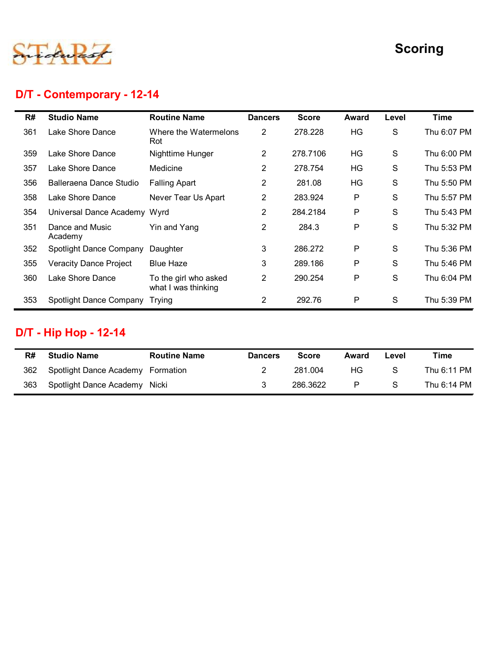

# D/T - Contemporary - 12-14

|     |                                |                                              |                |              |             |       | <b>Scoring</b> |
|-----|--------------------------------|----------------------------------------------|----------------|--------------|-------------|-------|----------------|
|     | D/T - Contemporary - 12-14     |                                              |                |              |             |       |                |
| R#  | <b>Studio Name</b>             | <b>Routine Name</b>                          | <b>Dancers</b> | <b>Score</b> | Award       | Level | <b>Time</b>    |
| 361 | Lake Shore Dance               | Where the Watermelons<br>Rot                 | $\overline{2}$ | 278.228      | HG          | S     | Thu 6:07 PM    |
| 359 | Lake Shore Dance               | Nighttime Hunger                             | $\overline{2}$ | 278.7106     | <b>HG</b>   | S     | Thu 6:00 PM    |
| 357 | Lake Shore Dance               | Medicine                                     | $\overline{2}$ | 278.754      | <b>HG</b>   | S     | Thu 5:53 PM    |
| 356 | Balleraena Dance Studio        | <b>Falling Apart</b>                         | $\overline{2}$ | 281.08       | <b>HG</b>   | S     | Thu 5:50 PM    |
| 358 | Lake Shore Dance               | Never Tear Us Apart                          | $\overline{2}$ | 283.924      | ${\sf P}$   | S     | Thu 5:57 PM    |
| 354 | Universal Dance Academy Wyrd   |                                              | $\overline{2}$ | 284.2184     | P           | S     | Thu 5:43 PM    |
| 351 | Dance and Music<br>Academy     | Yin and Yang                                 | $\overline{2}$ | 284.3        | $\mathsf P$ | S     | Thu 5:32 PM    |
| 352 | Spotlight Dance Company        | Daughter                                     | 3              | 286.272      | P           | S     | Thu 5:36 PM    |
| 355 | <b>Veracity Dance Project</b>  | <b>Blue Haze</b>                             | 3              | 289.186      | P           | S     | Thu 5:46 PM    |
| 360 | Lake Shore Dance               | To the girl who asked<br>what I was thinking | $\overline{2}$ | 290.254      | P           | S     | Thu 6:04 PM    |
| 353 | Spotlight Dance Company Trying |                                              | $\mathbf{2}$   | 292.76       | P           | S     | Thu 5:39 PM    |

# D/T - Hip Hop - 12-14

| R#  | <b>Studio Name</b>                | <b>Routine Name</b> | <b>Dancers</b> | <b>Score</b> | Award | Level | Time        |
|-----|-----------------------------------|---------------------|----------------|--------------|-------|-------|-------------|
| 362 | Spotlight Dance Academy Formation |                     |                | 281.004      | НG    | S.    | Thu 6:11 PM |
| 363 | Spotlight Dance Academy Nicki     |                     |                | 286.3622     | P     | -S    | Thu 6:14 PM |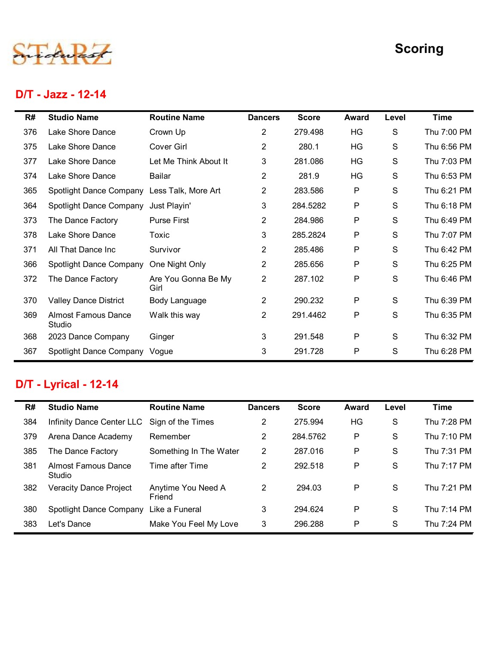

#### D/T - Jazz - 12-14

|     |                                      |                             |                |              |              |       | <b>Scoring</b> |
|-----|--------------------------------------|-----------------------------|----------------|--------------|--------------|-------|----------------|
|     | D/T - Jazz - 12-14                   |                             |                |              |              |       |                |
| R#  | <b>Studio Name</b>                   | <b>Routine Name</b>         | <b>Dancers</b> | <b>Score</b> | <b>Award</b> | Level | <b>Time</b>    |
| 376 | Lake Shore Dance                     | Crown Up                    | $\overline{c}$ | 279.498      | HG           | S     | Thu 7:00 PM    |
| 375 | Lake Shore Dance                     | Cover Girl                  | $\overline{c}$ | 280.1        | HG           | S     | Thu 6:56 PM    |
| 377 | Lake Shore Dance                     | Let Me Think About It       | 3              | 281.086      | HG           | S     | Thu 7:03 PM    |
| 374 | Lake Shore Dance                     | Bailar                      | $\overline{c}$ | 281.9        | HG           | S     | Thu 6:53 PM    |
| 365 | Spotlight Dance Company              | Less Talk, More Art         | $\overline{a}$ | 283.586      | P            | S     | Thu 6:21 PM    |
| 364 | Spotlight Dance Company              | Just Playin'                | 3              | 284.5282     | P            | S     | Thu 6:18 PM    |
| 373 | The Dance Factory                    | <b>Purse First</b>          | $\overline{2}$ | 284.986      | P            | S     | Thu 6:49 PM    |
| 378 | Lake Shore Dance                     | Toxic                       | 3              | 285.2824     | P            | S     | Thu 7:07 PM    |
| 371 | All That Dance Inc                   | Survivor                    | $\overline{c}$ | 285.486      | P            | S     | Thu 6:42 PM    |
| 366 | Spotlight Dance Company              | One Night Only              | $\overline{c}$ | 285.656      | P            | S     | Thu 6:25 PM    |
| 372 | The Dance Factory                    | Are You Gonna Be My<br>Girl | $\overline{2}$ | 287.102      | P            | S     | Thu 6:46 PM    |
| 370 | <b>Valley Dance District</b>         | Body Language               | $\overline{2}$ | 290.232      | P            | S     | Thu 6:39 PM    |
| 369 | <b>Almost Famous Dance</b><br>Studio | Walk this way               | $\overline{2}$ | 291.4462     | P            | S     | Thu 6:35 PM    |
| 368 | 2023 Dance Company                   | Ginger                      | 3              | 291.548      | P            | S     | Thu 6:32 PM    |
| 367 | Spotlight Dance Company Vogue        |                             | 3              | 291.728      | P            | S     | Thu 6:28 PM    |

## D/T - Lyrical - 12-14

| 366 | <b>Spotlight Dance Company</b>       | One Night Only               | $\overline{2}$ | 285.656      | ${\sf P}$    | S     | Thu 6:25 PM |
|-----|--------------------------------------|------------------------------|----------------|--------------|--------------|-------|-------------|
| 372 | The Dance Factory                    | Are You Gonna Be My<br>Girl  | $\overline{2}$ | 287.102      | P            | S     | Thu 6:46 PM |
| 370 | <b>Valley Dance District</b>         | Body Language                | $\overline{2}$ | 290.232      | P            | S     | Thu 6:39 PM |
| 369 | <b>Almost Famous Dance</b><br>Studio | Walk this way                | $\overline{2}$ | 291.4462     | P            | S     | Thu 6:35 PM |
| 368 | 2023 Dance Company                   | Ginger                       | 3              | 291.548      | P            | S     | Thu 6:32 PM |
| 367 | Spotlight Dance Company Vogue        |                              | 3              | 291.728      | P            | S     | Thu 6:28 PM |
|     |                                      |                              |                |              |              |       |             |
|     | D/T - Lyrical - 12-14                |                              |                |              |              |       |             |
| R#  | <b>Studio Name</b>                   | <b>Routine Name</b>          | <b>Dancers</b> | <b>Score</b> | <b>Award</b> | Level | <b>Time</b> |
| 384 | Infinity Dance Center LLC            | Sign of the Times            | $\overline{2}$ | 275.994      | HG           | S     | Thu 7:28 PM |
| 379 | Arena Dance Academy                  | Remember                     | $\overline{2}$ | 284.5762     | P            | S     | Thu 7:10 PM |
| 385 | The Dance Factory                    | Something In The Water       | $2^{\circ}$    | 287.016      | P            | S     | Thu 7:31 PM |
| 381 | <b>Almost Famous Dance</b><br>Studio | Time after Time              | $\overline{2}$ | 292.518      | P            | S     | Thu 7:17 PM |
| 382 | <b>Veracity Dance Project</b>        | Anytime You Need A<br>Friend | $\overline{2}$ | 294.03       | P            | S     | Thu 7:21 PM |
| 380 | Spotlight Dance Company              | Like a Funeral               | 3              | 294.624      | P            | S     | Thu 7:14 PM |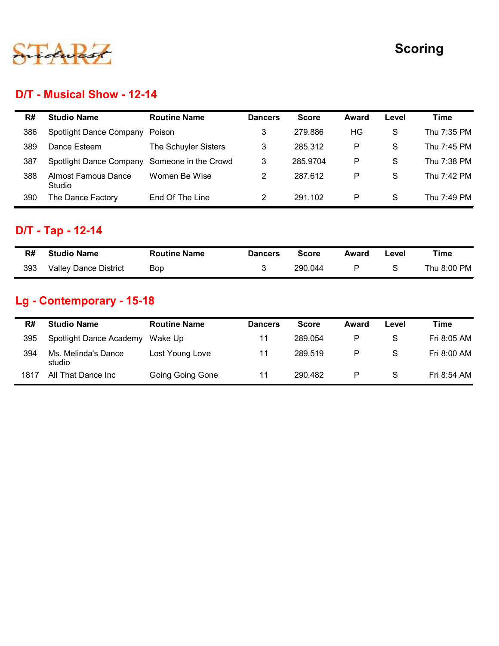

## D/T - Musical Show - 12-14

|     |                                      |                      |                |              |              |               | <b>Scoring</b> |
|-----|--------------------------------------|----------------------|----------------|--------------|--------------|---------------|----------------|
|     |                                      |                      |                |              |              |               |                |
|     |                                      |                      |                |              |              |               |                |
|     | D/T - Musical Show - 12-14           |                      |                |              |              |               |                |
| R#  | <b>Studio Name</b>                   | <b>Routine Name</b>  | <b>Dancers</b> | <b>Score</b> | <b>Award</b> | Level         | <b>Time</b>    |
| 386 | Spotlight Dance Company              | Poison               | 3              | 279.886      | HG           | S             | Thu 7:35 PM    |
| 389 | Dance Esteem                         | The Schuyler Sisters | 3              | 285.312      | P            | S             | Thu 7:45 PM    |
| 387 | Spotlight Dance Company              | Someone in the Crowd | 3              | 285.9704     | P            | S             | Thu 7:38 PM    |
| 388 | <b>Almost Famous Dance</b><br>Studio | Women Be Wise        | $\overline{2}$ | 287.612      | P            | S             | Thu 7:42 PM    |
| 390 | The Dance Factory                    | End Of The Line      | $\overline{2}$ | 291.102      | $\mathsf{P}$ | ${\mathsf S}$ | Thu 7:49 PM    |
|     | D/T - Tap - 12-14                    |                      |                |              |              |               |                |
| R#  | <b>Studio Name</b>                   | <b>Routine Name</b>  | <b>Dancers</b> | <b>Score</b> | <b>Award</b> | Level         | <b>Time</b>    |
| 393 | Valley Dance District                | Bop                  | 3              | 290.044      | P            | S             | Thu 8:00 PM    |
|     | Lg - Contemporary - 15-18            |                      |                |              |              |               |                |
|     | <b>Studio Name</b>                   | <b>Routine Name</b>  | <b>Dancers</b> | <b>Score</b> | Award        | Level         | <b>Time</b>    |
| R#  |                                      | Wake Up              | 11             | 289.054      | P            | S             | Fri 8:05 AM    |
| 395 | Spotlight Dance Academy              |                      |                |              |              |               |                |
| 394 | Ms. Melinda's Dance<br>studio        | Lost Young Love      | 11             | 289.519      | ${\sf P}$    | ${\mathsf S}$ | Fri 8:00 AM    |

# D/T - Tap - 12-14

| R#  | <b>Studio Name</b>    | <b>Routine Name</b> | <b>Dancers</b> | <b>Score</b> | Award | Level | Time        |
|-----|-----------------------|---------------------|----------------|--------------|-------|-------|-------------|
| 393 | Valley Dance District | <b>Bop</b>          |                | 290.044      |       |       | Thu 8:00 PM |

# Lg - Contemporary - 15-18

| 389 | Dance Esteem                                    | The Schuyler Sisters | 3              | 285.312      | $\mathsf{P}$ | $\mathsf S$   | Thu 7:45 PM |
|-----|-------------------------------------------------|----------------------|----------------|--------------|--------------|---------------|-------------|
| 387 | Spotlight Dance Company                         | Someone in the Crowd | 3              | 285.9704     | $\mathsf{P}$ | $\mathsf S$   | Thu 7:38 PM |
| 388 | <b>Almost Famous Dance</b><br>Studio            | Women Be Wise        | $\overline{2}$ | 287.612      | P            | ${\mathsf S}$ | Thu 7:42 PM |
| 390 | The Dance Factory                               | End Of The Line      | $\overline{2}$ | 291.102      | $\mathsf P$  | S             | Thu 7:49 PM |
|     | D/T - Tap - 12-14                               |                      |                |              |              |               |             |
|     |                                                 |                      |                |              |              |               |             |
| R#  | <b>Studio Name</b>                              | <b>Routine Name</b>  | <b>Dancers</b> | <b>Score</b> | <b>Award</b> | Level         | Time        |
| 393 | <b>Valley Dance District</b>                    | Bop                  | 3              | 290.044      | P            | S             | Thu 8:00 PM |
| R#  | Lg - Contemporary - 15-18<br><b>Studio Name</b> | <b>Routine Name</b>  | <b>Dancers</b> | <b>Score</b> | <b>Award</b> | Level         | Time        |
| 395 | Spotlight Dance Academy                         | Wake Up              | 11             | 289.054      | P            | S             | Fri 8:05 AM |
| 394 | Ms. Melinda's Dance<br>studio                   | Lost Young Love      | 11             | 289.519      | P            | $\mathbf S$   | Fri 8:00 AM |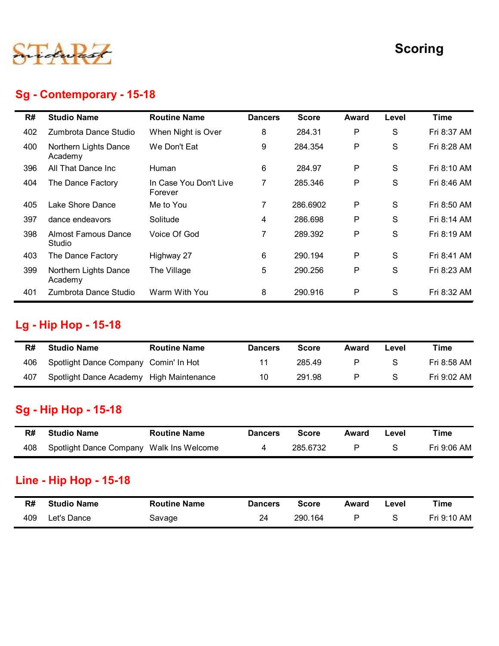

#### Sg - Contemporary - 15-18

|     |                                          |                                   |                |              |              |               | <b>Scoring</b> |
|-----|------------------------------------------|-----------------------------------|----------------|--------------|--------------|---------------|----------------|
|     | Sg - Contemporary - 15-18                |                                   |                |              |              |               |                |
| R#  | <b>Studio Name</b>                       | <b>Routine Name</b>               | <b>Dancers</b> | <b>Score</b> | <b>Award</b> | Level         | <b>Time</b>    |
| 402 | Zumbrota Dance Studio                    | When Night is Over                | 8              | 284.31       | Ρ            | S             | Fri 8:37 AM    |
| 400 | Northern Lights Dance<br>Academy         | We Don't Eat                      | 9              | 284.354      | P            | S             | Fri 8:28 AM    |
| 396 | All That Dance Inc                       | Human                             | 6              | 284.97       | P            | ${\mathsf S}$ | Fri 8:10 AM    |
| 404 | The Dance Factory                        | In Case You Don't Live<br>Forever | $\overline{7}$ | 285.346      | P            | S             | Fri 8:46 AM    |
| 405 | Lake Shore Dance                         | Me to You                         | 7              | 286.6902     | P            | S             | Fri 8:50 AM    |
| 397 | dance endeavors                          | Solitude                          | 4              | 286.698      | P            | S             | Fri 8:14 AM    |
| 398 | <b>Almost Famous Dance</b><br>Studio     | Voice Of God                      | 7              | 289.392      | P            | S             | Fri 8:19 AM    |
| 403 | The Dance Factory                        | Highway 27                        | 6              | 290.194      | P            | S             | Fri 8:41 AM    |
| 399 | Northern Lights Dance<br>Academy         | The Village                       | 5              | 290.256      | P            | S             | Fri 8:23 AM    |
| 401 | Zumbrota Dance Studio                    | Warm With You                     | 8              | 290.916      | P            | S             | Fri 8:32 AM    |
|     | Lg - Hip Hop - 15-18                     |                                   |                |              |              |               |                |
| R#  | <b>Studio Name</b>                       | <b>Routine Name</b>               | <b>Dancers</b> | <b>Score</b> | <b>Award</b> | Level         | <b>Time</b>    |
| 406 | Spotlight Dance Company Comin' In Hot    |                                   | 11             | 285.49       | Ρ            | S             | Fri 8:58 AM    |
| 407 | Spotlight Dance Academy High Maintenance |                                   | 10             | 291.98       | P            | S             | Fri 9:02 AM    |
|     | <b>Sg - Hip Hop - 15-18</b>              |                                   |                |              |              |               |                |
| R#  | <b>Studio Name</b>                       | <b>Routine Name</b>               | <b>Dancers</b> | <b>Score</b> | Award        | Level         | <b>Time</b>    |
| 408 | Spotlight Dance Company Walk Ins Welcome |                                   | 4              | 285.6732     | P            | S             | Fri 9:06 AM    |

#### Lg - Hip Hop - 15-18

| 401 | Zumbrota Dance Studio                    | Warm With You       | 8              | 290.916      | P            | S             | Fri 8:32 AM |
|-----|------------------------------------------|---------------------|----------------|--------------|--------------|---------------|-------------|
|     | <b>Lg - Hip Hop - 15-18</b>              |                     |                |              |              |               |             |
|     |                                          |                     |                |              |              |               |             |
| R#  | <b>Studio Name</b>                       | <b>Routine Name</b> | <b>Dancers</b> | <b>Score</b> | <b>Award</b> | Level         | <b>Time</b> |
| 406 | Spotlight Dance Company Comin' In Hot    |                     | 11             | 285.49       | P            | ${\mathsf S}$ | Fri 8:58 AM |
| 407 | Spotlight Dance Academy High Maintenance |                     | 10             | 291.98       | P            | S             | Fri 9:02 AM |
|     | <b>Sg - Hip Hop - 15-18</b>              |                     |                |              |              |               |             |
|     |                                          |                     |                |              |              |               |             |
| R#  | <b>Studio Name</b>                       | <b>Routine Name</b> | <b>Dancers</b> | <b>Score</b> | Award        | Level         | <b>Time</b> |
| 408 | Spotlight Dance Company Walk Ins Welcome |                     | 4              | 285.6732     | P            | ${\mathsf S}$ | Fri 9:06 AM |
|     |                                          |                     |                |              |              |               |             |
|     | <b>Line - Hip Hop - 15-18</b>            |                     |                |              |              |               |             |
| R#  | <b>Studio Name</b>                       | <b>Routine Name</b> | <b>Dancers</b> | <b>Score</b> | <b>Award</b> | Level         | <b>Time</b> |

#### Sg - Hip Hop - 15-18

| R#  | <b>Studio Name</b>                       | <b>Routine Name</b> | <b>Dancers</b> | <b>Score</b> | Award | Level | Time        |
|-----|------------------------------------------|---------------------|----------------|--------------|-------|-------|-------------|
| 408 | Spotlight Dance Company Walk Ins Welcome |                     |                | 285.6732     |       |       | Fri 9:06 AM |

#### Line - Hip Hop - 15-18

| R#  | <b>Studio Name</b>      | <b>Routine Name</b> | <b>Dancers</b> | Score   | Award | -evel | Time        |
|-----|-------------------------|---------------------|----------------|---------|-------|-------|-------------|
| 409 | <sub>-</sub> et's Dance | Savage              | 24             | 290.164 |       |       | Fri 9:10 AM |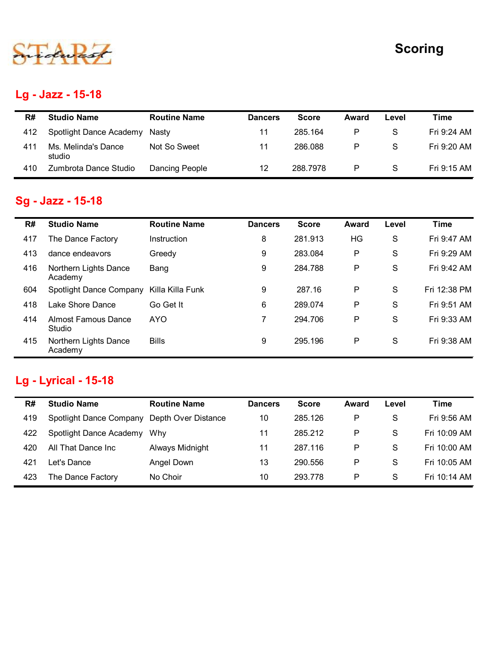

## Lg - Jazz - 15-18

|     |                               |                       |                |              |              |               | <b>Scoring</b> |
|-----|-------------------------------|-----------------------|----------------|--------------|--------------|---------------|----------------|
|     |                               |                       |                |              |              |               |                |
|     |                               |                       |                |              |              |               |                |
|     | Lg - Jazz - 15-18             |                       |                |              |              |               |                |
| R#  | <b>Studio Name</b>            | <b>Routine Name</b>   | <b>Dancers</b> | <b>Score</b> | <b>Award</b> | Level         | <b>Time</b>    |
| 412 | Spotlight Dance Academy       | Nasty                 | 11             | 285.164      | P            | ${\mathsf S}$ | Fri 9:24 AM    |
| 411 | Ms. Melinda's Dance<br>studio | Not So Sweet          | 11             | 286.088      | $\mathsf{P}$ | S             | Fri 9:20 AM    |
| 410 | Zumbrota Dance Studio         | <b>Dancing People</b> | 12             | 288.7978     | $\mathsf P$  | ${\mathsf S}$ | Fri 9:15 AM    |
|     | <b>Sg - Jazz - 15-18</b>      |                       |                |              |              |               |                |
| R#  | <b>Studio Name</b>            | <b>Routine Name</b>   | <b>Dancers</b> | <b>Score</b> | Award        | Level         | <b>Time</b>    |
| 417 | The Dance Factory             | Instruction           | 8              | 281.913      | HG           | S             | Fri 9:47 AM    |
|     |                               |                       |                | 283.084      | $\mathsf{P}$ | ${\mathsf S}$ | Fri 9:29 AM    |
| 413 | dance endeavors               | Greedy                | 9              |              |              |               |                |

# Sg - Jazz - 15-18

|     | Lg - Jazz - 15-18                                 |                       |                |              |              |               |              |
|-----|---------------------------------------------------|-----------------------|----------------|--------------|--------------|---------------|--------------|
| R#  | <b>Studio Name</b>                                | <b>Routine Name</b>   | <b>Dancers</b> | <b>Score</b> | <b>Award</b> | Level         | <b>Time</b>  |
| 412 | Spotlight Dance Academy                           | Nasty                 | 11             | 285.164      | P            | S             | Fri 9:24 AM  |
| 411 | Ms. Melinda's Dance<br>studio                     | Not So Sweet          | 11             | 286.088      | P            | S             | Fri 9:20 AM  |
| 410 | Zumbrota Dance Studio                             | <b>Dancing People</b> | 12             | 288.7978     | P            | $\mathsf{S}$  | Fri 9:15 AM  |
|     | Sg - Jazz - 15-18                                 |                       |                |              |              |               |              |
| R#  | <b>Studio Name</b>                                | <b>Routine Name</b>   | <b>Dancers</b> | <b>Score</b> | <b>Award</b> | Level         | <b>Time</b>  |
| 417 | The Dance Factory                                 | Instruction           | 8              | 281.913      | HG           | S             | Fri 9:47 AM  |
| 413 | dance endeavors                                   | Greedy                | 9              | 283.084      | P            | S             | Fri 9:29 AM  |
| 416 | Northern Lights Dance<br>Academy                  | Bang                  | 9              | 284.788      | P            | S             | Fri 9:42 AM  |
| 604 | Spotlight Dance Company                           | Killa Killa Funk      | 9              | 287.16       | P            | S             | Fri 12:38 PM |
| 418 | Lake Shore Dance                                  | Go Get It             | 6              | 289.074      | P            | S             | Fri 9:51 AM  |
| 414 | <b>Almost Famous Dance</b><br>Studio              | <b>AYO</b>            | $\overline{7}$ | 294.706      | P            | $\mathsf{S}$  | Fri 9:33 AM  |
| 415 | Northern Lights Dance<br>Academy                  | <b>Bills</b>          | 9              | 295.196      | P            | $\mathsf{S}$  | Fri 9:38 AM  |
| R#  | <b>Lg - Lyrical - 15-18</b><br><b>Studio Name</b> | <b>Routine Name</b>   | <b>Dancers</b> | <b>Score</b> | Award        | Level         | <b>Time</b>  |
| 419 | Spotlight Dance Company Depth Over Distance       |                       | 10             | 285.126      | P            | S             | Fri 9:56 AM  |
| 422 | Spotlight Dance Academy Why                       |                       | 11             | 285.212      | P            | ${\mathsf S}$ | Fri 10:09 AM |
| 420 | All That Dance Inc                                | Always Midnight       | 11             | 287.116      | P            | S             | Fri 10:00 AM |
| 421 | Let's Dance                                       | Angel Down            | 13             | 290.556      | P            | S             | Fri 10:05 AM |
|     |                                                   | No Choir              | 10             | 293.778      | P            | S             | Fri 10:14 AM |

# Lg - Lyrical - 15-18

| R#  | <b>Studio Name</b>      | <b>Routine Name</b> | <b>Dancers</b> | <b>Score</b> | Award | Level        | Time         |
|-----|-------------------------|---------------------|----------------|--------------|-------|--------------|--------------|
| 419 | Spotlight Dance Company | Depth Over Distance | 10             | 285.126      | P     | S            | Fri 9:56 AM  |
| 422 | Spotlight Dance Academy | Whv                 | 11             | 285.212      | P     | <sub>S</sub> | Fri 10:09 AM |
| 420 | All That Dance Inc      | Always Midnight     | 11             | 287.116      | P     | S.           | Fri 10:00 AM |
| 421 | Let's Dance             | Angel Down          | 13             | 290.556      | P     | S.           | Fri 10:05 AM |
| 423 | The Dance Factory       | No Choir            | 10             | 293.778      | P     | S.           | Fri 10:14 AM |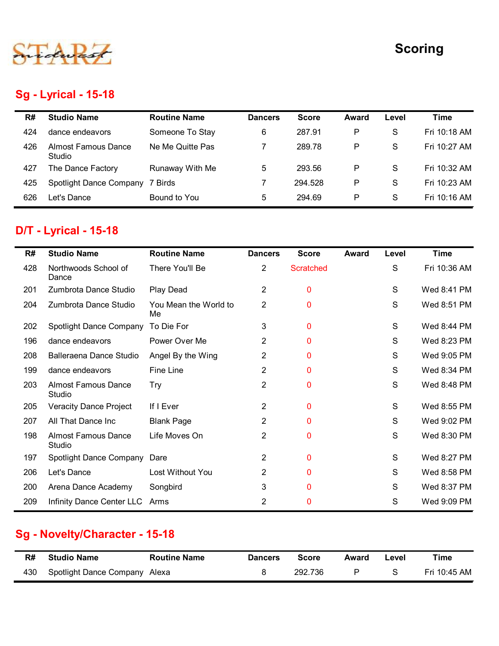

## Sg - Lyrical - 15-18

|     |                                      |                     |                |              |              |               | <b>Scoring</b> |
|-----|--------------------------------------|---------------------|----------------|--------------|--------------|---------------|----------------|
|     |                                      |                     |                |              |              |               |                |
|     | <b>Sg - Lyrical - 15-18</b>          |                     |                |              |              |               |                |
| R#  | <b>Studio Name</b>                   | <b>Routine Name</b> | <b>Dancers</b> | <b>Score</b> | <b>Award</b> | Level         | <b>Time</b>    |
| 424 | dance endeavors                      | Someone To Stay     | 6              | 287.91       | P            | ${\mathsf S}$ | Fri 10:18 AM   |
| 426 | <b>Almost Famous Dance</b><br>Studio | Ne Me Quitte Pas    | $\overline{7}$ | 289.78       | P            | S             | Fri 10:27 AM   |
| 427 | The Dance Factory                    | Runaway With Me     | 5              | 293.56       | P            | $\mathsf{S}$  | Fri 10:32 AM   |
| 425 | <b>Spotlight Dance Company</b>       | 7 Birds             | $\overline{7}$ | 294.528      | $\mathsf{P}$ | S             | Fri 10:23 AM   |
| 626 | Let's Dance                          | Bound to You        | 5              | 294.69       | P            | $\mathsf{S}$  | Fri 10:16 AM   |
|     |                                      |                     |                |              |              |               |                |
|     | <b>D/T - Lyrical - 15-18</b>         |                     |                |              |              |               |                |
|     | <b>Studio Name</b>                   | <b>Routine Name</b> | <b>Dancers</b> | <b>Score</b> | Award        | Level         | <b>Time</b>    |
| R#  |                                      |                     |                |              |              |               |                |
| 428 | Northwoods School of<br>Dance        | There You'll Be     | $\overline{2}$ | Scratched    |              | $\mathsf{S}$  | Fri 10:36 AM   |
| 201 | Zumbrota Dance Studio                | Play Dead           | $\overline{2}$ | $\mathbf 0$  |              | S             | Wed 8:41 PM    |

## D/T - Lyrical - 15-18

|     | <b>Studio Name</b>                   | <b>Routine Name</b>         | <b>Dancers</b> | <b>Score</b>     | <b>Award</b> | Level         | <b>Time</b>  |
|-----|--------------------------------------|-----------------------------|----------------|------------------|--------------|---------------|--------------|
| 424 | dance endeavors                      | Someone To Stay             | 6              | 287.91           | P            | $\mathbf S$   | Fri 10:18 AM |
| 426 | <b>Almost Famous Dance</b><br>Studio | Ne Me Quitte Pas            | $\overline{7}$ | 289.78           | P            | $\mathbf S$   | Fri 10:27 AM |
| 427 | The Dance Factory                    | Runaway With Me             | 5              | 293.56           | P            | S             | Fri 10:32 AM |
| 425 | Spotlight Dance Company              | 7 Birds                     | 7              | 294.528          | P            | S             | Fri 10:23 AM |
| 626 | Let's Dance                          | Bound to You                | 5              | 294.69           | P            | S             | Fri 10:16 AM |
|     | D/T - Lyrical - 15-18                |                             |                |                  |              |               |              |
| R#  | <b>Studio Name</b>                   | <b>Routine Name</b>         | <b>Dancers</b> | <b>Score</b>     | <b>Award</b> | Level         | <b>Time</b>  |
| 428 | Northwoods School of<br>Dance        | There You'll Be             | $\overline{2}$ | <b>Scratched</b> |              | $\mathbf S$   | Fri 10:36 AM |
| 201 | Zumbrota Dance Studio                | Play Dead                   | $\overline{2}$ | 0                |              | S             | Wed 8:41 PM  |
| 204 | Zumbrota Dance Studio                | You Mean the World to<br>Me | $\overline{2}$ | $\mathbf{0}$     |              | S             | Wed 8:51 PM  |
| 202 | Spotlight Dance Company              | To Die For                  | 3              | 0                |              | S             | Wed 8:44 PM  |
| 196 | dance endeavors                      | Power Over Me               | $\overline{2}$ | $\mathbf 0$      |              | S             | Wed 8:23 PM  |
| 208 | <b>Balleraena Dance Studio</b>       | Angel By the Wing           | $\overline{2}$ | $\mathbf 0$      |              | S             | Wed 9:05 PM  |
| 199 | dance endeavors                      | Fine Line                   | $\overline{2}$ | $\bf{0}$         |              | ${\mathsf S}$ | Wed 8:34 PM  |
| 203 | <b>Almost Famous Dance</b><br>Studio | <b>Try</b>                  | $\overline{2}$ | $\bf{0}$         |              | S             | Wed 8:48 PM  |
| 205 | <b>Veracity Dance Project</b>        | If I Ever                   | $\overline{2}$ | $\mathbf{0}$     |              | S             | Wed 8:55 PM  |
| 207 | All That Dance Inc                   | <b>Blank Page</b>           | $\overline{2}$ | $\mathbf 0$      |              | S             | Wed 9:02 PM  |
| 198 | <b>Almost Famous Dance</b><br>Studio | Life Moves On               | $\overline{2}$ | $\mathbf 0$      |              | S             | Wed 8:30 PM  |
| 197 | Spotlight Dance Company Dare         |                             | $\overline{2}$ | $\bf{0}$         |              | S             | Wed 8:27 PM  |
| 206 | Let's Dance                          | Lost Without You            | $\overline{2}$ | 0                |              | S             | Wed 8:58 PM  |
| 200 | Arena Dance Academy                  | Songbird                    | 3              | $\mathbf 0$      |              | S             | Wed 8:37 PM  |
| 209 | Infinity Dance Center LLC Arms       |                             | $\overline{a}$ | 0                |              | S             | Wed 9:09 PM  |

## Sg - Novelty/Character - 15-18

| R#  | <b>Studio Name</b>            | <b>Routine Name</b> | <b>Dancers</b> | <b>Score</b> | Award | Level | $\mathsf{r}$ ime |
|-----|-------------------------------|---------------------|----------------|--------------|-------|-------|------------------|
| 430 | Spotlight Dance Company Alexa |                     |                | 292.736      |       |       | Fri 10:45 AM     |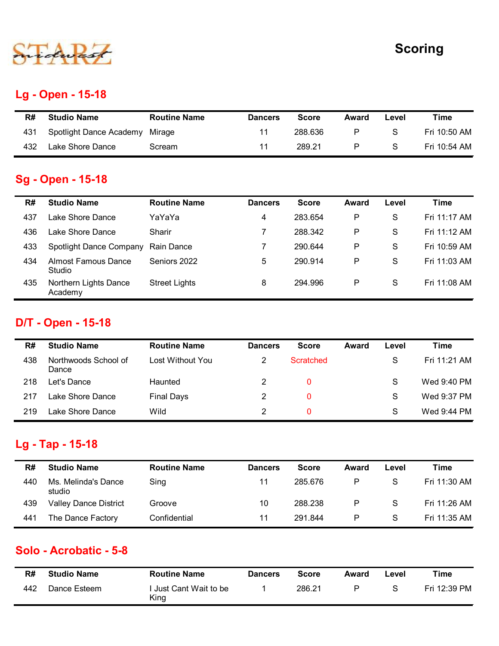

#### Lg - Open - 15-18

|     |                         |                     |                |              |              |               | <b>Scoring</b> |
|-----|-------------------------|---------------------|----------------|--------------|--------------|---------------|----------------|
|     |                         |                     |                |              |              |               |                |
|     | Lg - Open - 15-18       |                     |                |              |              |               |                |
| R#  | <b>Studio Name</b>      | <b>Routine Name</b> | <b>Dancers</b> | <b>Score</b> | Award        | Level         | <b>Time</b>    |
| 431 | Spotlight Dance Academy | Mirage              | 11             | 288.636      | $\mathsf{P}$ | ${\mathsf S}$ | Fri 10:50 AM   |

#### Sg - Open - 15-18

|     |                                                |                      |                |                  |              |               | <b>Scoring</b> |
|-----|------------------------------------------------|----------------------|----------------|------------------|--------------|---------------|----------------|
| R#  | <b>Lg - Open - 15-18</b><br><b>Studio Name</b> | <b>Routine Name</b>  | <b>Dancers</b> | <b>Score</b>     | <b>Award</b> | Level         | <b>Time</b>    |
| 431 | Spotlight Dance Academy                        | Mirage               | 11             | 288.636          | P            | S             | Fri 10:50 AM   |
| 432 | Lake Shore Dance                               | Scream               | 11             | 289.21           | P            | $\mathsf{S}$  | Fri 10:54 AM   |
| R#  | <b>Sg - Open - 15-18</b><br><b>Studio Name</b> | <b>Routine Name</b>  | <b>Dancers</b> | <b>Score</b>     | Award        | Level         | <b>Time</b>    |
| 437 | Lake Shore Dance                               | YaYaYa               | 4              | 283.654          | P            | $\mathsf{S}$  | Fri 11:17 AM   |
| 436 | Lake Shore Dance                               | Sharir               | 7              | 288.342          | P            | S             | Fri 11:12 AM   |
| 433 | Spotlight Dance Company                        | Rain Dance           | $\overline{7}$ | 290.644          | P            | S             | Fri 10:59 AM   |
| 434 | <b>Almost Famous Dance</b><br>Studio           | Seniors 2022         | 5              | 290.914          | P            | S             | Fri 11:03 AM   |
| 435 | Northern Lights Dance<br>Academy               | <b>Street Lights</b> | 8              | 294.996          | ${\sf P}$    | ${\mathsf S}$ | Fri 11:08 AM   |
| R#  | D/T - Open - 15-18<br><b>Studio Name</b>       | <b>Routine Name</b>  | <b>Dancers</b> | <b>Score</b>     | Award        | Level         | <b>Time</b>    |
| 438 | Northwoods School of<br>Dance                  | Lost Without You     | $\overline{2}$ | <b>Scratched</b> |              | S             | Fri 11:21 AM   |
|     | Let's Dance                                    | Haunted              | $\overline{2}$ | $\mathbf 0$      |              | S             | Wed 9:40 PM    |
| 218 |                                                |                      | $\overline{2}$ | $\mathbf 0$      |              | S             | Wed 9:37 PM    |
| 217 | Lake Shore Dance                               | <b>Final Days</b>    |                |                  |              |               |                |

# D/T - Open - 15-18

| 434 | <b>Almost Famous Dance</b><br>Studio   | Seniors 2022         | 5              | 290.914          | P            | $\mathbf S$ | Fri 11:03 AM |
|-----|----------------------------------------|----------------------|----------------|------------------|--------------|-------------|--------------|
| 435 | Northern Lights Dance<br>Academy       | <b>Street Lights</b> | 8              | 294.996          | $\mathsf{P}$ | S           | Fri 11:08 AM |
|     | <b>D/T - Open - 15-18</b>              |                      |                |                  |              |             |              |
| R#  | <b>Studio Name</b>                     | <b>Routine Name</b>  | <b>Dancers</b> | <b>Score</b>     | <b>Award</b> | Level       | <b>Time</b>  |
| 438 | Northwoods School of<br>Dance          | Lost Without You     | $\overline{2}$ | <b>Scratched</b> |              | S           | Fri 11:21 AM |
| 218 | Let's Dance                            | Haunted              | $\overline{2}$ | $\mathbf{0}$     |              | S           | Wed 9:40 PM  |
| 217 | Lake Shore Dance                       | <b>Final Days</b>    | $\overline{2}$ | 0                |              | S           | Wed 9:37 PM  |
|     |                                        |                      |                |                  |              |             |              |
| 219 | Lake Shore Dance                       | Wild                 | $\overline{2}$ | $\mathbf{0}$     |              | S           | Wed 9:44 PM  |
| R#  | Lg - Tap - 15-18<br><b>Studio Name</b> | <b>Routine Name</b>  | <b>Dancers</b> | <b>Score</b>     | <b>Award</b> | Level       | <b>Time</b>  |
| 440 | Ms. Melinda's Dance<br>studio          | Sing                 | 11             | 285.676          | P            | S           | Fri 11:30 AM |
| 439 | <b>Valley Dance District</b>           | Groove               | 10             | 288.238          | P            | S           | Fri 11:26 AM |

#### Lg - Tap - 15-18

| 400 | <b>INUITIIWUUUS SUITUUL UI</b><br>Dance | LOSE VVIIIIOUL TOU  | $\epsilon$      | <b>Sciatched</b> |              | ◡             | $FII$ $I.I.Z$ $HIVI$ |
|-----|-----------------------------------------|---------------------|-----------------|------------------|--------------|---------------|----------------------|
| 218 | Let's Dance                             | Haunted             | $\overline{2}$  | $\pmb{0}$        |              | ${\mathsf S}$ | Wed 9:40 PM          |
| 217 | Lake Shore Dance                        | <b>Final Days</b>   | $\overline{2}$  | 0                |              | S             | Wed 9:37 PM          |
| 219 | Lake Shore Dance                        | Wild                | $\overline{c}$  | 0                |              | ${\mathsf S}$ | Wed 9:44 PM          |
|     | Lg - Tap - 15-18                        |                     |                 |                  |              |               |                      |
| R#  | <b>Studio Name</b>                      | <b>Routine Name</b> | <b>Dancers</b>  | <b>Score</b>     | <b>Award</b> | Level         | <b>Time</b>          |
| 440 | Ms. Melinda's Dance<br>studio           | Sing                | 11              | 285.676          | P            | ${\mathsf S}$ | Fri 11:30 AM         |
| 439 | <b>Valley Dance District</b>            | Groove              | 10 <sup>°</sup> | 288.238          | P            | ${\mathsf S}$ | Fri 11:26 AM         |
| 441 | The Dance Factory                       | Confidential        | 11              | 291.844          | P            | ${\mathsf S}$ | Fri 11:35 AM         |
|     | Solo - Acrobatic - 5-8                  |                     |                 |                  |              |               |                      |
| R#  | <b>Studio Name</b>                      | <b>Routine Name</b> | <b>Dancers</b>  | <b>Score</b>     | <b>Award</b> | Level         | <b>Time</b>          |

#### Solo - Acrobatic - 5-8

| R#  | <b>Studio Name</b> | <b>Routine Name</b>            | <b>Dancers</b> | <b>Score</b> | Award | ∟evel | Time         |
|-----|--------------------|--------------------------------|----------------|--------------|-------|-------|--------------|
| 442 | Dance Esteem       | ' Just Cant Wait to be<br>King |                | 286.21       | D     |       | Fri 12:39 PM |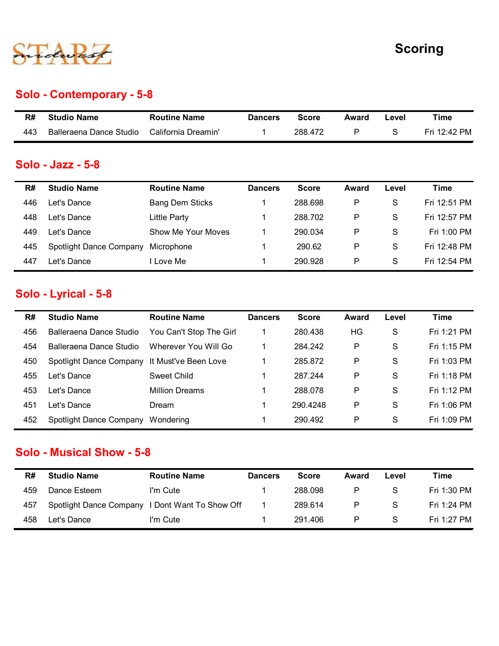

#### Solo - Contemporary - 5-8

|     |                           |                     |                |              |              |               | <b>Scoring</b> |
|-----|---------------------------|---------------------|----------------|--------------|--------------|---------------|----------------|
|     |                           |                     |                |              |              |               |                |
|     | Solo - Contemporary - 5-8 |                     |                |              |              |               |                |
| R#  | <b>Studio Name</b>        | <b>Routine Name</b> | <b>Dancers</b> | <b>Score</b> | <b>Award</b> | Level         | <b>Time</b>    |
| 443 | Balleraena Dance Studio   | California Dreamin' | -1             | 288.472      | $\mathsf{P}$ | ${\mathsf S}$ | Fri 12:42 PM   |
|     | Solo - Jazz - 5-8         |                     |                |              |              |               |                |
|     |                           |                     |                |              |              |               |                |

#### Solo - Jazz - 5-8

|           | Solo - Contemporary - 5-8                              |                                               | <b>Scoring</b>      |                         |                    |                        |                             |
|-----------|--------------------------------------------------------|-----------------------------------------------|---------------------|-------------------------|--------------------|------------------------|-----------------------------|
| R#        | <b>Studio Name</b>                                     | <b>Routine Name</b>                           | <b>Dancers</b>      | <b>Score</b>            | <b>Award</b>       | Level                  | <b>Time</b>                 |
| 443       | Balleraena Dance Studio                                | California Dreamin'                           | $\mathbf 1$         | 288.472                 | ${\sf P}$          | $\mathsf S$            | Fri 12:42 PM                |
| R#<br>446 | Solo - Jazz - 5-8<br><b>Studio Name</b><br>Let's Dance | <b>Routine Name</b><br><b>Bang Dem Sticks</b> | <b>Dancers</b><br>1 | <b>Score</b><br>288.698 | Award<br>${\sf P}$ | Level<br>${\mathsf S}$ | <b>Time</b><br>Fri 12:51 PM |
| 448       | Let's Dance                                            | <b>Little Party</b>                           | $\mathbf{1}$        | 288.702                 | ${\sf P}$          | S                      | Fri 12:57 PM                |
| 449       | Let's Dance                                            | Show Me Your Moves                            | 1                   | 290.034                 | P                  | $\mathbf S$            | Fri 1:00 PM                 |
| 445       | Spotlight Dance Company                                | Microphone                                    | 1                   | 290.62                  | $\mathsf{P}$       | $\mathbf S$            | Fri 12:48 PM                |
| 447       | Let's Dance                                            | I Love Me                                     | 1                   | 290.928                 | $\mathsf{P}$       | S                      | Fri 12:54 PM                |
|           | Solo - Lyrical - 5-8                                   |                                               |                     |                         |                    |                        |                             |
| R#        | <b>Studio Name</b>                                     | <b>Routine Name</b>                           | <b>Dancers</b>      | <b>Score</b>            | <b>Award</b>       | Level                  | <b>Time</b>                 |
| 456       | Balleraena Dance Studio                                | You Can't Stop The Girl                       | 1                   | 280.438                 | HG                 | $\mathsf S$            | Fri 1:21 PM                 |
| 454       | Balleraena Dance Studio                                | Wherever You Will Go                          | $\mathbf 1$         | 284.242                 | P                  | ${\mathsf S}$          | Fri 1:15 PM                 |
| 450       | Spotlight Dance Company                                | It Must've Been Love                          | $\mathbf 1$         | 285.872                 | P                  | ${\mathsf S}$          | Fri 1:03 PM                 |
| 455       | Let's Dance                                            | <b>Sweet Child</b>                            | 1                   | 287.244                 | $\mathsf{P}$       | S                      | Fri 1:18 PM                 |
| 453       | Let's Dance                                            | <b>Million Dreams</b>                         |                     | 288.078                 | $\mathsf{P}$       | $\mathbf S$            | Fri 1:12 PM                 |

#### Solo - Lyrical - 5-8

| R#  | <b>Studio Name</b>                              | <b>Routine Name</b>     | <b>Dancers</b> | <b>Score</b> | <b>Award</b> | Level         | <b>Time</b>  |
|-----|-------------------------------------------------|-------------------------|----------------|--------------|--------------|---------------|--------------|
| 446 | Let's Dance                                     | <b>Bang Dem Sticks</b>  | $\mathbf{1}$   | 288.698      | $\mathsf{P}$ | $\mathsf S$   | Fri 12:51 PM |
| 448 | Let's Dance                                     | <b>Little Party</b>     | $\mathbf 1$    | 288.702      | P            | $\mathsf S$   | Fri 12:57 PM |
| 449 | Let's Dance                                     | Show Me Your Moves      | $\mathbf{1}$   | 290.034      | ${\sf P}$    | $\mathbf S$   | Fri 1:00 PM  |
| 445 | Spotlight Dance Company                         | Microphone              | $\mathbf 1$    | 290.62       | $\mathsf{P}$ | $\mathsf S$   | Fri 12:48 PM |
| 447 | Let's Dance                                     | I Love Me               | $\mathbf 1$    | 290.928      | ${\sf P}$    | $\mathsf S$   | Fri 12:54 PM |
|     | Solo - Lyrical - 5-8                            |                         |                |              |              |               |              |
| R#  | <b>Studio Name</b>                              | <b>Routine Name</b>     | <b>Dancers</b> | <b>Score</b> | Award        | Level         | <b>Time</b>  |
| 456 | Balleraena Dance Studio                         | You Can't Stop The Girl | $\mathbf{1}$   | 280.438      | HG           | S             | Fri 1:21 PM  |
| 454 | Balleraena Dance Studio                         | Wherever You Will Go    | $\mathbf{1}$   | 284.242      | $\mathsf{P}$ | ${\mathsf S}$ | Fri 1:15 PM  |
| 450 | Spotlight Dance Company                         | It Must've Been Love    | $\mathbf{1}$   | 285.872      | ${\sf P}$    | S             | Fri 1:03 PM  |
| 455 | Let's Dance                                     | <b>Sweet Child</b>      | $\mathbf 1$    | 287.244      | ${\sf P}$    | $\mathbf S$   | Fri 1:18 PM  |
| 453 | Let's Dance                                     | <b>Million Dreams</b>   | $\mathbf 1$    | 288.078      | $\mathsf{P}$ | S             | Fri 1:12 PM  |
| 451 | Let's Dance                                     | Dream                   | 1              | 290.4248     | P            | $\mathbf S$   | Fri 1:06 PM  |
| 452 | Spotlight Dance Company Wondering               |                         | $\mathbf 1$    | 290.492      | P            | ${\mathsf S}$ | Fri 1:09 PM  |
|     | <b>Solo - Musical Show - 5-8</b>                |                         |                |              |              |               |              |
| R#  | <b>Studio Name</b>                              | <b>Routine Name</b>     | <b>Dancers</b> | <b>Score</b> | Award        | Level         | <b>Time</b>  |
| 459 | Dance Esteem                                    | I'm Cute                | $\mathbf 1$    | 288.098      | $\mathsf{P}$ | $\mathbf S$   | Fri 1:30 PM  |
| 457 | Spotlight Dance Company I Dont Want To Show Off |                         | $\mathbf{1}$   | 289.614      | ${\sf P}$    | $\mathsf S$   | Fri 1:24 PM  |
| 458 | Let's Dance                                     | I'm Cute                | $\mathbf{1}$   | 291.406      | ${\sf P}$    | ${\mathsf S}$ | Fri 1:27 PM  |

#### Solo - Musical Show - 5-8

| R#  | <b>Studio Name</b>      | <b>Routine Name</b>     | <b>Dancers</b> | <b>Score</b> | Award | Level        | Time        |
|-----|-------------------------|-------------------------|----------------|--------------|-------|--------------|-------------|
| 459 | Dance Esteem            | I'm Cute                |                | 288.098      | P     | <sub>S</sub> | Fri 1:30 PM |
| 457 | Spotlight Dance Company | I Dont Want To Show Off |                | 289.614      | P     | -S           | Fri 1:24 PM |
| 458 | Let's Dance             | I'm Cute                |                | 291.406      | P     | S.           | Fri 1:27 PM |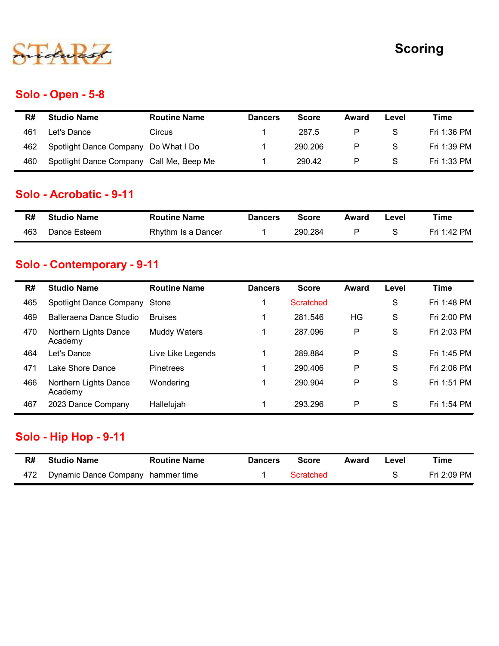

#### Solo - Open - 5-8

|     |                                                                                  |                     |                      |              |           |               | <b>Scoring</b> |
|-----|----------------------------------------------------------------------------------|---------------------|----------------------|--------------|-----------|---------------|----------------|
|     |                                                                                  |                     |                      |              |           |               |                |
|     | <b>Solo - Open - 5-8</b>                                                         |                     |                      |              |           |               |                |
| R#  | <b>Studio Name</b>                                                               | <b>Routine Name</b> | <b>Dancers</b>       | <b>Score</b> | Award     | Level         | <b>Time</b>    |
| 461 | Let's Dance                                                                      | Circus              | $\blacktriangleleft$ | 287.5        | $\sf P$   | ${\mathsf S}$ | Fri 1:36 PM    |
|     |                                                                                  |                     | $\mathbf 1$          | 290.206      | ${\sf P}$ | $\mathsf S$   | Fri 1:39 PM    |
| 462 |                                                                                  |                     |                      |              |           |               |                |
| 460 | Spotlight Dance Company Do What I Do<br>Spotlight Dance Company Call Me, Beep Me |                     | $\mathbf{1}$         | 290.42       | $\sf P$   | ${\mathsf S}$ | Fri 1:33 PM    |
|     | Solo - Acrobatic - 9-11                                                          |                     |                      |              |           |               |                |
| R#  | <b>Studio Name</b>                                                               | <b>Routine Name</b> | <b>Dancers</b>       | <b>Score</b> | Award     | Level         | <b>Time</b>    |

#### Solo - Acrobatic - 9-11

| R#  | <b>Studio Name</b> | <b>Routine Name</b> | <b>Dancers</b> | Score   | Award | ∟evel | Time        |
|-----|--------------------|---------------------|----------------|---------|-------|-------|-------------|
| 463 | Dance Esteem       | Rhythm Is a Dancer  |                | 290.284 |       |       | Fri 1:42 PM |

## Solo - Contemporary - 9-11

| Let's Dance<br>287.5<br>P<br>S<br>Fri 1:36 PM<br>461<br>Circus<br>Spotlight Dance Company Do What I Do<br>290.206<br>P<br>S<br>Fri 1:39 PM<br>462<br>Spotlight Dance Company Call Me, Beep Me<br>290.42<br>P<br>S<br>Fri 1:33 PM<br>460<br>1<br><b>Solo - Acrobatic - 9-11</b><br><b>Studio Name</b><br><b>Routine Name</b><br><b>Score</b><br><b>Time</b><br>R#<br><b>Dancers</b><br><b>Award</b><br>Level<br>P<br>${\mathsf S}$<br>Dance Esteem<br>290.284<br>Fri 1:42 PM<br>463<br>Rhythm Is a Dancer<br>1 |
|---------------------------------------------------------------------------------------------------------------------------------------------------------------------------------------------------------------------------------------------------------------------------------------------------------------------------------------------------------------------------------------------------------------------------------------------------------------------------------------------------------------|
|                                                                                                                                                                                                                                                                                                                                                                                                                                                                                                               |
|                                                                                                                                                                                                                                                                                                                                                                                                                                                                                                               |
|                                                                                                                                                                                                                                                                                                                                                                                                                                                                                                               |
|                                                                                                                                                                                                                                                                                                                                                                                                                                                                                                               |
|                                                                                                                                                                                                                                                                                                                                                                                                                                                                                                               |
|                                                                                                                                                                                                                                                                                                                                                                                                                                                                                                               |
| <b>Studio Name</b><br><b>Routine Name</b><br><b>Score</b><br>Level<br><b>Time</b><br>R#<br><b>Dancers</b><br><b>Award</b><br>1                                                                                                                                                                                                                                                                                                                                                                                |
| Solo - Contemporary - 9-11                                                                                                                                                                                                                                                                                                                                                                                                                                                                                    |
| S<br>Fri 1:48 PM<br>465<br>Spotlight Dance Company<br>Stone<br><b>Scratched</b>                                                                                                                                                                                                                                                                                                                                                                                                                               |
| Balleraena Dance Studio<br>281.546<br>HG<br>S<br>Fri 2:00 PM<br>469<br><b>Bruises</b>                                                                                                                                                                                                                                                                                                                                                                                                                         |
| S<br>Northern Lights Dance<br>Muddy Waters<br>287.096<br>P<br>Fri 2:03 PM<br>470<br>1<br>Academy                                                                                                                                                                                                                                                                                                                                                                                                              |
| $\mathsf{S}$<br>P<br>Fri 1:45 PM<br>Let's Dance<br>Live Like Legends<br>289.884<br>464                                                                                                                                                                                                                                                                                                                                                                                                                        |
| P<br>S<br>Lake Shore Dance<br>290.406<br>Fri 2:06 PM<br>Pinetrees<br>471                                                                                                                                                                                                                                                                                                                                                                                                                                      |
| S<br>P<br>Northern Lights Dance<br>290.904<br>Fri 1:51 PM<br>466<br>Wondering<br>Academy                                                                                                                                                                                                                                                                                                                                                                                                                      |
| 2023 Dance Company<br>${\mathsf S}$<br>293.296<br>P<br>Fri 1:54 PM<br>Hallelujah<br>467                                                                                                                                                                                                                                                                                                                                                                                                                       |

#### Solo - Hip Hop - 9-11

| R#  | <b>Studio Name</b>                | <b>Routine Name</b> | <b>Dancers</b> | <b>Score</b> | Award | Level | Time        |
|-----|-----------------------------------|---------------------|----------------|--------------|-------|-------|-------------|
| 472 | Dynamic Dance Company hammer time |                     |                | Scratched    |       |       | Fri 2:09 PM |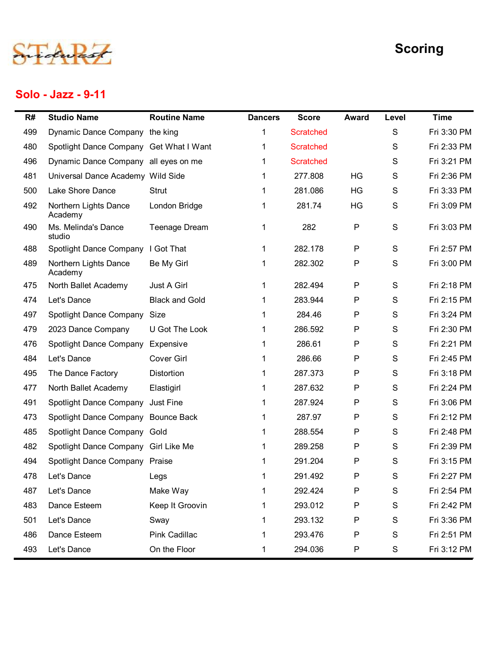

#### Solo - Jazz - 9-11

|     | Solo - Jazz - 9-11                      |                       |                |                  |              |               | <b>Scoring</b> |
|-----|-----------------------------------------|-----------------------|----------------|------------------|--------------|---------------|----------------|
| R#  | <b>Studio Name</b>                      | <b>Routine Name</b>   | <b>Dancers</b> | <b>Score</b>     | <b>Award</b> | Level         | <b>Time</b>    |
| 499 | Dynamic Dance Company the king          |                       | 1              | <b>Scratched</b> |              | S             | Fri 3:30 PM    |
| 480 | Spotlight Dance Company Get What I Want |                       | 1              | <b>Scratched</b> |              | S             | Fri 2:33 PM    |
| 496 | Dynamic Dance Company all eyes on me    |                       | $\mathbf 1$    | <b>Scratched</b> |              | S             | Fri 3:21 PM    |
| 481 | Universal Dance Academy Wild Side       |                       | 1              | 277.808          | <b>HG</b>    | S             | Fri 2:36 PM    |
| 500 | Lake Shore Dance                        | Strut                 | 1              | 281.086          | HG           | S             | Fri 3:33 PM    |
| 492 | Northern Lights Dance<br>Academy        | London Bridge         | 1.             | 281.74           | HG           | S             | Fri 3:09 PM    |
| 490 | Ms. Melinda's Dance<br>studio           | Teenage Dream         | $\mathbf 1$    | 282              | P            | $\mathsf{S}$  | Fri 3:03 PM    |
| 488 | Spotlight Dance Company                 | I Got That            |                | 282.178          | P            | S             | Fri 2:57 PM    |
| 489 | Northern Lights Dance<br>Academy        | Be My Girl            |                | 282.302          | $\mathsf{P}$ | S             | Fri 3:00 PM    |
| 475 | North Ballet Academy                    | Just A Girl           | $\mathbf 1$    | 282.494          | P            | S             | Fri 2:18 PM    |
| 474 | Let's Dance                             | <b>Black and Gold</b> | 1              | 283.944          | P            | S             | Fri 2:15 PM    |
| 497 | Spotlight Dance Company Size            |                       | 1              | 284.46           | P            | S             | Fri 3:24 PM    |
| 479 | 2023 Dance Company                      | U Got The Look        |                | 286.592          | P            | S             | Fri 2:30 PM    |
| 476 | Spotlight Dance Company Expensive       |                       | 1              | 286.61           | P            | S             | Fri 2:21 PM    |
| 484 | Let's Dance                             | Cover Girl            | $\mathbf 1$    | 286.66           | P            | S             | Fri 2:45 PM    |
| 495 | The Dance Factory                       | Distortion            | $\mathbf 1$    | 287.373          | P            | S             | Fri 3:18 PM    |
| 477 | North Ballet Academy                    | Elastigirl            | 1              | 287.632          | P            | S             | Fri 2:24 PM    |
| 491 | Spotlight Dance Company Just Fine       |                       |                | 287.924          | P            | S             | Fri 3:06 PM    |
| 473 | Spotlight Dance Company Bounce Back     |                       | 1.             | 287.97           | P            | S             | Fri 2:12 PM    |
| 485 | Spotlight Dance Company Gold            |                       |                | 288.554          | P            | S             | Fri 2:48 PM    |
| 482 | Spotlight Dance Company Girl Like Me    |                       | 1.             | 289.258          | P            | S             | Fri 2:39 PM    |
| 494 | Spotlight Dance Company Praise          |                       |                | 291.204          | P            | S             | Fri 3:15 PM    |
| 478 | Let's Dance                             | Legs                  | 1              | 291.492          | P            | S             | Fri 2:27 PM    |
| 487 | Let's Dance                             | Make Way              | 1              | 292.424          | P            | S             | Fri 2:54 PM    |
| 483 | Dance Esteem                            | Keep It Groovin       | 1              | 293.012          | P            | S             | Fri 2:42 PM    |
| 501 | Let's Dance                             | Sway                  | 1              | 293.132          | P            | S             | Fri 3:36 PM    |
| 486 | Dance Esteem                            | Pink Cadillac         | 1              | 293.476          | P            | ${\mathsf S}$ | Fri 2:51 PM    |
| 493 | Let's Dance                             | On the Floor          |                | 294.036          | P            | S             | Fri 3:12 PM    |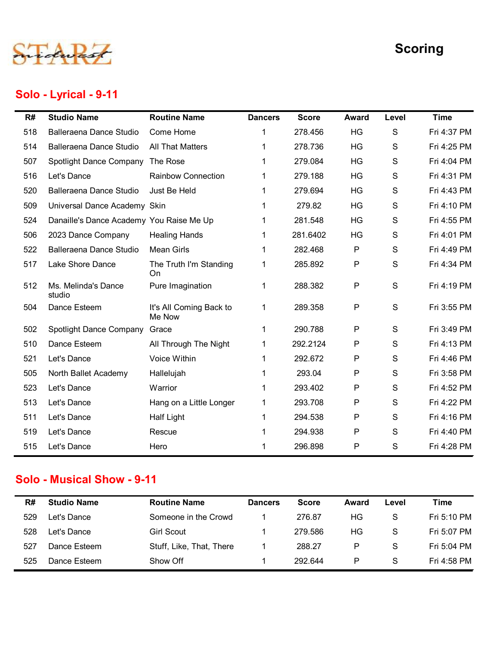

## Solo - Lyrical - 9-11

|     |                                          |                                   |                | <b>Scoring</b> |              |             |             |  |
|-----|------------------------------------------|-----------------------------------|----------------|----------------|--------------|-------------|-------------|--|
|     | Solo - Lyrical - 9-11                    |                                   |                |                |              |             |             |  |
| R#  | <b>Studio Name</b>                       | <b>Routine Name</b>               | <b>Dancers</b> | <b>Score</b>   | <b>Award</b> | Level       | <b>Time</b> |  |
| 518 | <b>Balleraena Dance Studio</b>           | Come Home                         |                | 278.456        | HG           | S           | Fri 4:37 PM |  |
| 514 | Balleraena Dance Studio                  | <b>All That Matters</b>           |                | 278.736        | HG           | S           | Fri 4:25 PM |  |
| 507 | Spotlight Dance Company The Rose         |                                   | 1              | 279.084        | HG           | S           | Fri 4:04 PM |  |
| 516 | Let's Dance                              | <b>Rainbow Connection</b>         | 1              | 279.188        | HG           | S           | Fri 4:31 PM |  |
| 520 | Balleraena Dance Studio                  | Just Be Held                      | 1              | 279.694        | HG           | S           | Fri 4:43 PM |  |
| 509 | Universal Dance Academy Skin             |                                   |                | 279.82         | HG           | S           | Fri 4:10 PM |  |
| 524 | Danaille's Dance Academy You Raise Me Up |                                   |                | 281.548        | HG           | S           | Fri 4:55 PM |  |
| 506 | 2023 Dance Company                       | <b>Healing Hands</b>              |                | 281.6402       | HG           | S           | Fri 4:01 PM |  |
| 522 | Balleraena Dance Studio                  | Mean Girls                        | 1              | 282.468        | P            | S           | Fri 4:49 PM |  |
| 517 | Lake Shore Dance                         | The Truth I'm Standing<br>On      | 1              | 285.892        | P            | S           | Fri 4:34 PM |  |
| 512 | Ms. Melinda's Dance<br>studio            | Pure Imagination                  | 1              | 288.382        | P            | S           | Fri 4:19 PM |  |
| 504 | Dance Esteem                             | It's All Coming Back to<br>Me Now | $\mathbf{1}$   | 289.358        | P            | S           | Fri 3:55 PM |  |
| 502 | Spotlight Dance Company                  | Grace                             | $\mathbf{1}$   | 290.788        | P            | S           | Fri 3:49 PM |  |
| 510 | Dance Esteem                             | All Through The Night             | $\mathbf{1}$   | 292.2124       | $\mathsf{P}$ | S           | Fri 4:13 PM |  |
| 521 | Let's Dance                              | Voice Within                      | 1              | 292.672        | P            | S           | Fri 4:46 PM |  |
| 505 | North Ballet Academy                     | Hallelujah                        | $\mathbf 1$    | 293.04         | P            | S           | Fri 3:58 PM |  |
| 523 | Let's Dance                              | Warrior                           | 1              | 293.402        | P            | S           | Fri 4:52 PM |  |
| 513 | Let's Dance                              | Hang on a Little Longer           | $\mathbf{1}$   | 293.708        | P            | S           | Fri 4:22 PM |  |
| 511 | Let's Dance                              | <b>Half Light</b>                 | $\mathbf 1$    | 294.538        | P            | S           | Fri 4:16 PM |  |
| 519 | Let's Dance                              | Rescue                            | 1              | 294.938        | P            | $\mathbf S$ | Fri 4:40 PM |  |
| 515 | Let's Dance                              | Hero                              | 1              | 296.898        | P            | S           | Fri 4:28 PM |  |
|     | <b>Solo - Musical Show - 9-11</b>        |                                   |                |                |              |             |             |  |
| R#  | <b>Studio Name</b>                       | <b>Routine Name</b>               | <b>Dancers</b> | <b>Score</b>   | Award        | Level       | <b>Time</b> |  |
| 529 | Let's Dance                              | Someone in the Crowd              | $\mathbf{1}$   | 276.87         | HG           | S           | Fri 5:10 PM |  |
| 528 | Let's Dance                              | <b>Girl Scout</b>                 | 1              | 279.586        | HG           | S           | Fri 5:07 PM |  |
| 527 | Dance Esteem                             | Stuff, Like, That, There          | $\mathbf{1}$   | 288.27         | P            | $\mathbf S$ | Fri 5:04 PM |  |
| 525 | Dance Esteem                             | Show Off                          | 1              | 292.644        | P            | S           | Fri 4:58 PM |  |

#### Solo - Musical Show - 9-11

| R#  | <b>Studio Name</b> | <b>Routine Name</b>      | <b>Dancers</b> | <b>Score</b> | Award | Level | Time        |
|-----|--------------------|--------------------------|----------------|--------------|-------|-------|-------------|
| 529 | ∟et's Dance        | Someone in the Crowd     |                | 276.87       | ΗG    | S     | Fri 5:10 PM |
| 528 | ∟et's Dance        | Girl Scout               |                | 279.586      | HG    | S     | Fri 5:07 PM |
| 527 | Dance Esteem       | Stuff, Like, That, There |                | 288.27       | P     | S     | Fri 5:04 PM |
| 525 | Dance Esteem       | Show Off                 |                | 292.644      | P     | S     | Fri 4:58 PM |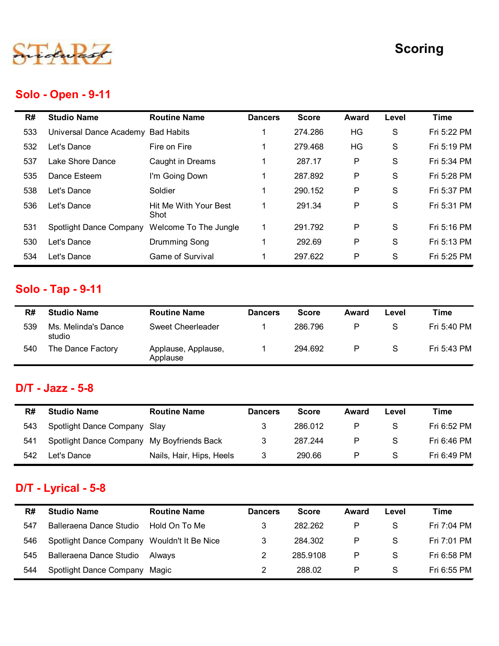

## Solo - Open - 9-11

|     |                                            |                                 |                      |              |              |               | <b>Scoring</b> |
|-----|--------------------------------------------|---------------------------------|----------------------|--------------|--------------|---------------|----------------|
|     | <b>Solo - Open - 9-11</b>                  |                                 |                      |              |              |               |                |
| R#  | <b>Studio Name</b>                         | <b>Routine Name</b>             | <b>Dancers</b>       | <b>Score</b> | <b>Award</b> | Level         | <b>Time</b>    |
| 533 | Universal Dance Academy Bad Habits         |                                 | 1                    | 274.286      | HG           | $\mathbf S$   | Fri 5:22 PM    |
| 532 | Let's Dance                                | Fire on Fire                    | -1                   | 279.468      | HG           | S             | Fri 5:19 PM    |
| 537 | Lake Shore Dance                           | Caught in Dreams                | $\mathbf{1}$         | 287.17       | P            | S             | Fri 5:34 PM    |
| 535 | Dance Esteem                               | I'm Going Down                  | 1                    | 287.892      | P            | $\mathbf S$   | Fri 5:28 PM    |
| 538 | Let's Dance                                | Soldier                         | $\blacktriangleleft$ | 290.152      | P            | $\mathbf S$   | Fri 5:37 PM    |
| 536 | Let's Dance                                | Hit Me With Your Best<br>Shot   | $\mathbf{1}$         | 291.34       | P            | S             | Fri 5:31 PM    |
| 531 | Spotlight Dance Company                    | Welcome To The Jungle           | $\mathbf{1}$         | 291.792      | P            | ${\mathsf S}$ | Fri 5:16 PM    |
| 530 | Let's Dance                                | <b>Drumming Song</b>            | $\mathbf{1}$         | 292.69       | ${\sf P}$    | ${\mathsf S}$ | Fri 5:13 PM    |
| 534 | Let's Dance                                | Game of Survival                | 1                    | 297.622      | ${\sf P}$    | ${\mathsf S}$ | Fri 5:25 PM    |
|     | <b>Solo - Tap - 9-11</b>                   |                                 |                      |              |              |               |                |
| R#  | <b>Studio Name</b>                         | <b>Routine Name</b>             | <b>Dancers</b>       | <b>Score</b> | <b>Award</b> | Level         | <b>Time</b>    |
| 539 | Ms. Melinda's Dance<br>studio              | Sweet Cheerleader               | -1                   | 286.796      | P            | ${\mathsf S}$ | Fri 5:40 PM    |
| 540 | The Dance Factory                          | Applause, Applause,<br>Applause | $\mathbf{1}$         | 294.692      | P            | S             | Fri 5:43 PM    |
|     | $D/T -$ Jazz - 5-8                         |                                 |                      |              |              |               |                |
| R#  | <b>Studio Name</b>                         | <b>Routine Name</b>             | <b>Dancers</b>       | <b>Score</b> | <b>Award</b> | Level         | <b>Time</b>    |
| 543 | Spotlight Dance Company Slay               |                                 | 3                    | 286.012      | P            | S             | Fri 6:52 PM    |
|     | Spotlight Dance Company My Boyfriends Back |                                 | 3                    | 287.244      | P            | $\mathbf S$   | Fri 6:46 PM    |
| 541 |                                            | Nails, Hair, Hips, Heels        | 3                    | 290.66       | P            | S             | Fri 6:49 PM    |

# Solo - Tap - 9-11

|     |                                | Shot                            |                      |              |              |               |             |
|-----|--------------------------------|---------------------------------|----------------------|--------------|--------------|---------------|-------------|
| 531 | Spotlight Dance Company        | Welcome To The Jungle           | $\mathbf{1}$         | 291.792      | $\mathsf{P}$ | $\mathbf S$   | Fri 5:16 PM |
| 530 | Let's Dance                    | Drumming Song                   | $\blacktriangleleft$ | 292.69       | ${\sf P}$    | S             | Fri 5:13 PM |
| 534 | Let's Dance                    | Game of Survival                | 1                    | 297.622      | P            | S             | Fri 5:25 PM |
|     | <b>Solo - Tap - 9-11</b>       |                                 |                      |              |              |               |             |
| R#  | <b>Studio Name</b>             | <b>Routine Name</b>             | <b>Dancers</b>       | <b>Score</b> | <b>Award</b> | Level         | <b>Time</b> |
| 539 | Ms. Melinda's Dance<br>studio  | <b>Sweet Cheerleader</b>        | 1                    | 286.796      | P            | S             | Fri 5:40 PM |
| 540 | The Dance Factory              | Applause, Applause,<br>Applause | $\mathbf{1}$         | 294.692      | $\sf P$      | ${\mathsf S}$ | Fri 5:43 PM |
|     | $DT - Jazz - 5-8$              |                                 |                      |              |              |               |             |
| R#  | <b>Studio Name</b>             | <b>Routine Name</b>             | <b>Dancers</b>       | <b>Score</b> | <b>Award</b> | Level         | <b>Time</b> |
| 543 | Spotlight Dance Company        | Slay                            | 3                    | 286.012      | P            | S             | Fri 6:52 PM |
| 541 | Spotlight Dance Company        | My Boyfriends Back              | 3                    | 287.244      | ${\sf P}$    | S             | Fri 6:46 PM |
| 542 | Let's Dance                    | Nails, Hair, Hips, Heels        | 3                    | 290.66       | P            | $\mathbf S$   | Fri 6:49 PM |
|     | D/T - Lyrical - 5-8            |                                 |                      |              |              |               |             |
| R#  | <b>Studio Name</b>             | <b>Routine Name</b>             | <b>Dancers</b>       | <b>Score</b> | Award        | Level         | <b>Time</b> |
| 547 | Balleraena Dance Studio        | Hold On To Me                   | 3                    | 282.262      | P            | S             | Fri 7:04 PM |
| 546 | <b>Spotlight Dance Company</b> | Wouldn't It Be Nice             | 3                    | 284.302      | ${\sf P}$    | S             | Fri 7:01 PM |
| 545 | Balleraena Dance Studio        | Always                          | $\overline{2}$       | 285.9108     | ${\sf P}$    | S             | Fri 6:58 PM |

## D/T - Jazz - 5-8

| R#  | <b>Studio Name</b>                         | <b>Routine Name</b>      | <b>Dancers</b> | <b>Score</b> | Award | Level | Time        |
|-----|--------------------------------------------|--------------------------|----------------|--------------|-------|-------|-------------|
| 543 | Spotlight Dance Company Slay               |                          | 3              | 286.012      | P     | S     | Fri 6:52 PM |
| 541 | Spotlight Dance Company My Boyfriends Back |                          |                | 287.244      | P     | S     | Fri 6:46 PM |
| 542 | Let's Dance                                | Nails, Hair, Hips, Heels |                | 290.66       | P     | S.    | Fri 6:49 PM |

## D/T - Lyrical - 5-8

|            | <b>Sludio Natile</b>                                     | Routine Name                    | Dancers                          | ocore              | Awaru                        | rever       | <u>rme</u>                 |
|------------|----------------------------------------------------------|---------------------------------|----------------------------------|--------------------|------------------------------|-------------|----------------------------|
| 539        | Ms. Melinda's Dance<br>studio                            | <b>Sweet Cheerleader</b>        |                                  | 286.796            | P                            | $\mathsf S$ | Fri 5:40 PM                |
| 540        | The Dance Factory                                        | Applause, Applause,<br>Applause | $\mathbf 1$                      | 294.692            | $\mathsf P$                  | S           | Fri 5:43 PM                |
|            |                                                          |                                 |                                  |                    |                              |             |                            |
|            | D/T - Jazz - 5-8                                         |                                 |                                  |                    |                              |             |                            |
| R#         | <b>Studio Name</b>                                       | <b>Routine Name</b>             | <b>Dancers</b>                   | <b>Score</b>       | Award                        | Level       | <b>Time</b>                |
| 543        | Spotlight Dance Company                                  | Slay                            | 3                                | 286.012            | P                            | S           | Fri 6:52 PM                |
|            |                                                          |                                 |                                  |                    |                              | S           | Fri 6:46 PM                |
| 541        | Spotlight Dance Company                                  | My Boyfriends Back              | 3                                | 287.244            | $\mathsf{P}$                 |             |                            |
| 542        | Let's Dance                                              | Nails, Hair, Hips, Heels        | 3                                | 290.66             | P                            | S           | Fri 6:49 PM                |
|            | D/T - Lyrical - 5-8                                      |                                 |                                  |                    |                              |             |                            |
| R#         | <b>Studio Name</b>                                       | <b>Routine Name</b>             | <b>Dancers</b>                   | <b>Score</b>       | <b>Award</b>                 | Level       | <b>Time</b>                |
| 547        | Balleraena Dance Studio                                  | Hold On To Me                   | 3                                | 282.262            | P                            | $\mathbf S$ | Fri 7:04 PM                |
| 546        | Spotlight Dance Company Wouldn't It Be Nice              |                                 | 3                                | 284.302            | $\mathsf{P}$                 | S           | Fri 7:01 PM                |
| 545<br>544 | Balleraena Dance Studio<br>Spotlight Dance Company Magic | Always                          | $\overline{2}$<br>$\overline{2}$ | 285.9108<br>288.02 | $\mathsf{P}$<br>$\mathsf{P}$ | S<br>S      | Fri 6:58 PM<br>Fri 6:55 PM |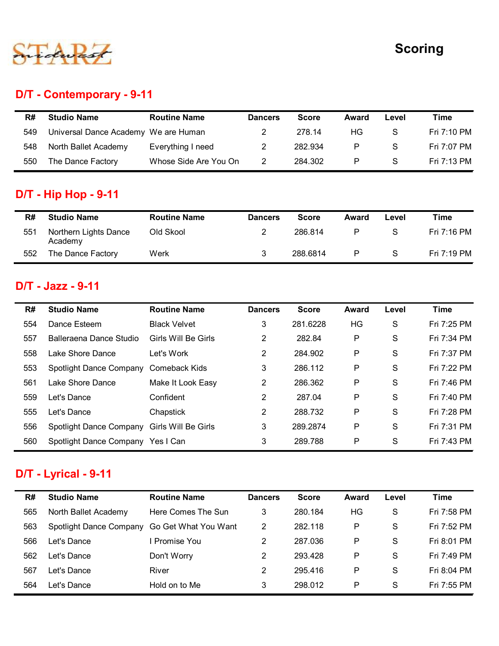

# D/T - Contemporary - 9-11

|     |                                      |                       |                |              |              |               | <b>Scoring</b> |
|-----|--------------------------------------|-----------------------|----------------|--------------|--------------|---------------|----------------|
|     |                                      |                       |                |              |              |               |                |
|     | D/T - Contemporary - 9-11            |                       |                |              |              |               |                |
| R#  | <b>Studio Name</b>                   | <b>Routine Name</b>   | <b>Dancers</b> | <b>Score</b> | Award        | Level         | <b>Time</b>    |
| 549 | Universal Dance Academy We are Human |                       | $\overline{2}$ | 278.14       | HG           | S             | Fri 7:10 PM    |
| 548 | North Ballet Academy                 | Everything I need     | $\overline{2}$ | 282.934      | ${\sf P}$    | ${\mathsf S}$ | Fri 7:07 PM    |
| 550 | The Dance Factory                    | Whose Side Are You On | $\overline{2}$ | 284.302      | ${\sf P}$    | ${\mathsf S}$ | Fri 7:13 PM    |
|     | <b>D/T - Hip Hop - 9-11</b>          |                       |                |              |              |               |                |
|     |                                      | <b>Routine Name</b>   | <b>Dancers</b> | <b>Score</b> | Award        | Level         | <b>Time</b>    |
| R#  | <b>Studio Name</b>                   |                       |                |              |              |               |                |
| 551 | Northern Lights Dance<br>Academy     | Old Skool             | $\overline{2}$ | 286.814      | $\mathsf{P}$ | ${\mathsf S}$ | Fri 7:16 PM    |

# D/T - Hip Hop - 9-11

| R#  | <b>Studio Name</b>               | <b>Routine Name</b> | <b>Dancers</b> | <b>Score</b> | Award | Level | Time        |
|-----|----------------------------------|---------------------|----------------|--------------|-------|-------|-------------|
| 551 | Northern Lights Dance<br>Academy | Old Skool           |                | 286.814      | P     | S     | Fri 7:16 PM |
| 552 | The Dance Factory                | Werk                | 3              | 288.6814     | P     | S     | Fri 7:19 PM |

#### D/T - Jazz - 9-11

| R#  | <b>Studio Name</b>                          | <b>Routine Name</b>   | <b>Dancers</b> | <b>Score</b> | <b>Award</b> | Level         | <b>Time</b> |
|-----|---------------------------------------------|-----------------------|----------------|--------------|--------------|---------------|-------------|
| 549 | Universal Dance Academy                     | We are Human          | 2              | 278.14       | HG           | S             | Fri 7:10 PM |
| 548 | North Ballet Academy                        | Everything I need     | $\overline{2}$ | 282.934      | P            | S             | Fri 7:07 PM |
| 550 | The Dance Factory                           | Whose Side Are You On | $\overline{c}$ | 284.302      | P            | S             | Fri 7:13 PM |
|     | <b>D/T - Hip Hop - 9-11</b>                 |                       |                |              |              |               |             |
| R#  | <b>Studio Name</b>                          | <b>Routine Name</b>   | <b>Dancers</b> | <b>Score</b> | <b>Award</b> | Level         | <b>Time</b> |
| 551 | Northern Lights Dance<br>Academy            | Old Skool             | $\overline{c}$ | 286.814      | $\mathsf{P}$ | S             | Fri 7:16 PM |
| 552 | The Dance Factory                           | Werk                  | 3              | 288.6814     | P            | ${\mathsf S}$ | Fri 7:19 PM |
| R#  | D/T - Jazz - 9-11<br><b>Studio Name</b>     | <b>Routine Name</b>   | <b>Dancers</b> | <b>Score</b> | <b>Award</b> | Level         | <b>Time</b> |
| 554 | Dance Esteem                                | <b>Black Velvet</b>   | 3              | 281.6228     | HG           | S             | Fri 7:25 PM |
| 557 | Balleraena Dance Studio                     | Girls Will Be Girls   | $\overline{2}$ | 282.84       | P            | S             | Fri 7:34 PM |
| 558 | Lake Shore Dance                            | Let's Work            | $\overline{2}$ | 284.902      | P            | S             | Fri 7:37 PM |
| 553 | Spotlight Dance Company                     | <b>Comeback Kids</b>  | 3              | 286.112      | P            | S             | Fri 7:22 PM |
| 561 | Lake Shore Dance                            | Make It Look Easy     | $\overline{c}$ | 286.362      | P            | S             | Fri 7:46 PM |
| 559 | Let's Dance                                 | Confident             | $\overline{2}$ | 287.04       | P            | S             | Fri 7:40 PM |
| 555 | Let's Dance                                 | Chapstick             | $\overline{2}$ | 288.732      | P            | S             | Fri 7:28 PM |
| 556 | Spotlight Dance Company Girls Will Be Girls |                       | 3              | 289.2874     | P            | S             | Fri 7:31 PM |
| 560 | Spotlight Dance Company Yes I Can           |                       | 3              | 289.788      | P            | S             | Fri 7:43 PM |
|     | <b>D/T - Lyrical - 9-11</b>                 |                       |                |              |              |               |             |
| R#  | <b>Studio Name</b>                          | <b>Routine Name</b>   | <b>Dancers</b> | <b>Score</b> | <b>Award</b> | Level         | <b>Time</b> |
| 565 | North Ballet Academy                        | Here Comes The Sun    | 3              | 280.184      | HG           | S             | Fri 7:58 PM |
| 563 | Spotlight Dance Company                     | Go Get What You Want  | $\overline{2}$ | 282.118      | P            | S             | Fri 7:52 PM |
| 566 | Let's Dance                                 | I Promise You         | $\overline{2}$ | 287.036      | P            | S             | Fri 8:01 PM |
| 562 | Let's Dance                                 | Don't Worry           | $\overline{2}$ | 293.428      | P            | S             | Fri 7:49 PM |
| 567 | Let's Dance                                 | River                 | $\overline{2}$ | 295.416      | P            | S             | Fri 8:04 PM |
| 564 | Let's Dance                                 | Hold on to Me         | 3              | 298.012      | P            | S             | Fri 7:55 PM |

# D/T - Lyrical - 9-11

| 553 | Spotlight Dance Company           | Comeback Kids        | 3              | 286.112      | $\mathsf{P}$ | $\mathbf S$ | Fri 7:22 PM |
|-----|-----------------------------------|----------------------|----------------|--------------|--------------|-------------|-------------|
| 561 | Lake Shore Dance                  | Make It Look Easy    | $\overline{2}$ | 286.362      | $\mathsf{P}$ | $\mathbf S$ | Fri 7:46 PM |
| 559 | Let's Dance                       | Confident            | $\overline{2}$ | 287.04       | $\mathsf{P}$ | S           | Fri 7:40 PM |
| 555 | Let's Dance                       | Chapstick            | $\overline{2}$ | 288.732      | P            | S           | Fri 7:28 PM |
| 556 | Spotlight Dance Company           | Girls Will Be Girls  | 3              | 289.2874     | P            | S           | Fri 7:31 PM |
| 560 | Spotlight Dance Company Yes I Can |                      | 3              | 289.788      | $\mathsf{P}$ | S           | Fri 7:43 PM |
|     |                                   |                      |                |              |              |             |             |
|     | <b>D/T - Lyrical - 9-11</b>       |                      |                |              |              |             |             |
| R#  | <b>Studio Name</b>                | <b>Routine Name</b>  | <b>Dancers</b> | <b>Score</b> | <b>Award</b> | Level       | <b>Time</b> |
| 565 | North Ballet Academy              | Here Comes The Sun   | 3              | 280.184      | HG           | S           | Fri 7:58 PM |
| 563 | Spotlight Dance Company           | Go Get What You Want | $\overline{2}$ | 282.118      | $\mathsf{P}$ | S           | Fri 7:52 PM |
| 566 | Let's Dance                       | <b>Promise You</b>   | $\overline{2}$ | 287.036      | $\mathsf{P}$ | S           | Fri 8:01 PM |
| 562 | Let's Dance                       | Don't Worry          | $\overline{2}$ | 293.428      | $\mathsf{P}$ | S           | Fri 7:49 PM |
| 567 | Let's Dance                       | River                | $\overline{2}$ | 295.416      | $\mathsf{P}$ | S           | Fri 8:04 PM |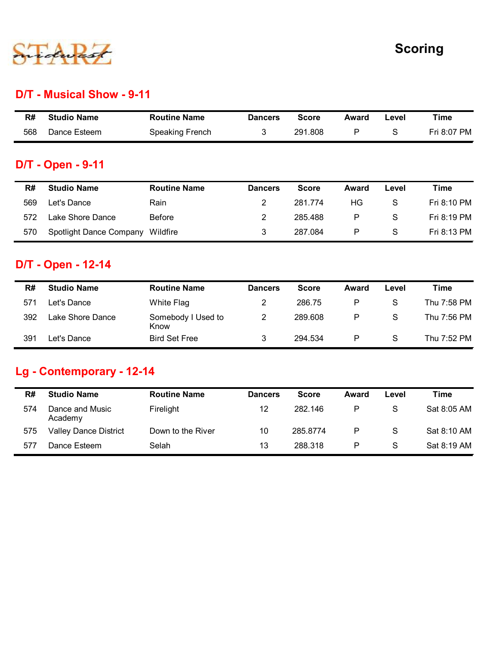

#### D/T - Musical Show - 9-11

|                     |                           |              |              |               | <b>Scoring</b> |
|---------------------|---------------------------|--------------|--------------|---------------|----------------|
|                     |                           |              |              |               |                |
| <b>Routine Name</b> | <b>Dancers</b>            | <b>Score</b> | Award        | Level         | <b>Time</b>    |
|                     |                           | 291.808      | $\mathsf{P}$ | ${\mathsf S}$ | Fri 8:07 PM    |
|                     | D/T - Musical Show - 9-11 |              |              |               |                |

## D/T - Open - 9-11

|     |                           |                     |                |              |              |               | <b>Scoring</b> |
|-----|---------------------------|---------------------|----------------|--------------|--------------|---------------|----------------|
|     |                           |                     |                |              |              |               |                |
|     | D/T - Musical Show - 9-11 |                     |                |              |              |               |                |
| R#  | <b>Studio Name</b>        | <b>Routine Name</b> | <b>Dancers</b> | <b>Score</b> | <b>Award</b> | Level         | <b>Time</b>    |
| 568 | Dance Esteem              | Speaking French     | 3              | 291.808      | $\mathsf{P}$ | $\mathsf S$   | Fri 8:07 PM    |
|     | <b>D/T - Open - 9-11</b>  |                     |                |              |              |               |                |
|     | <b>Studio Name</b>        | <b>Routine Name</b> | <b>Dancers</b> | <b>Score</b> | <b>Award</b> | Level         | <b>Time</b>    |
| R#  |                           |                     | $\overline{2}$ | 281.774      | HG           | ${\mathsf S}$ | Fri 8:10 PM    |
| 569 | Let's Dance               | Rain                |                |              |              |               |                |
| 572 | Lake Shore Dance          | Before              | $\overline{2}$ | 285.488      | $\mathsf{P}$ | S             | Fri 8:19 PM    |

## D/T - Open - 12-14

| R#         | <b>Studio Name</b>                                                            | <b>Routine Name</b>                      | <b>Dancers</b>                            | <b>Score</b>            | <b>Award</b>      | Level        | <b>Time</b>                |
|------------|-------------------------------------------------------------------------------|------------------------------------------|-------------------------------------------|-------------------------|-------------------|--------------|----------------------------|
| 568        | Dance Esteem                                                                  | Speaking French                          | 3                                         | 291.808                 | P                 | S            | Fri 8:07 PM                |
|            | <b>D/T - Open - 9-11</b>                                                      |                                          |                                           |                         |                   |              |                            |
| R#         | <b>Studio Name</b>                                                            | <b>Routine Name</b>                      | <b>Dancers</b>                            | <b>Score</b>            | <b>Award</b>      | Level        | <b>Time</b>                |
| 569        | Let's Dance                                                                   | Rain                                     | $\overline{2}$                            | 281.774                 | HG                | S            | Fri 8:10 PM                |
| 572        | Lake Shore Dance                                                              | <b>Before</b>                            | 2                                         | 285.488                 | P                 | S            | Fri 8:19 PM                |
| 570        | Spotlight Dance Company                                                       | Wildfire                                 | 3                                         | 287.084                 | P                 | S            | Fri 8:13 PM                |
|            |                                                                               |                                          |                                           |                         |                   | Level        | <b>Time</b>                |
|            |                                                                               |                                          |                                           |                         |                   |              |                            |
| R#         | <b>Studio Name</b>                                                            | <b>Routine Name</b>                      | <b>Dancers</b>                            | <b>Score</b>            | <b>Award</b>      |              |                            |
| 571<br>392 | Let's Dance<br>Lake Shore Dance                                               | White Flag<br>Somebody I Used to<br>Know | $\overline{\mathbf{c}}$<br>$\overline{c}$ | 286.75<br>289.608       | P<br>${\sf P}$    | S<br>S       | Thu 7:58 PM<br>Thu 7:56 PM |
| 391        | Let's Dance                                                                   | <b>Bird Set Free</b>                     | 3                                         | 294.534                 | P                 | $\mathsf{S}$ | Thu 7:52 PM                |
| R#<br>574  | Lg - Contemporary - 12-14<br><b>Studio Name</b><br>Dance and Music<br>Academy | <b>Routine Name</b><br>Firelight         | <b>Dancers</b><br>12                      | <b>Score</b><br>282.146 | <b>Award</b><br>P | Level<br>S   | <b>Time</b><br>Sat 8:05 AM |
| 575<br>577 | <b>Valley Dance District</b><br>Dance Esteem                                  | Down to the River<br>Selah               | 10<br>13 <sup>1</sup>                     | 285.8774<br>288 318     | P<br>P            | S<br>S.      | Sat 8:10 AM<br>Sat 8:19 AM |

## Lg - Contemporary - 12-14

| 569       | Let's Dance                                      | Rain                             | $\overline{2}$       | 281.774                 | HG         | S                    | Fri 8:10 PM                |
|-----------|--------------------------------------------------|----------------------------------|----------------------|-------------------------|------------|----------------------|----------------------------|
| 572       | Lake Shore Dance                                 | Before                           | $\overline{2}$       | 285.488                 | ${\sf P}$  | $\mathsf{S}$         | Fri 8:19 PM                |
| 570       | Spotlight Dance Company Wildfire                 |                                  | 3                    | 287.084                 | ${\sf P}$  | S                    | Fri 8:13 PM                |
|           | D/T - Open - 12-14                               |                                  |                      |                         |            |                      |                            |
|           |                                                  |                                  |                      |                         |            |                      |                            |
| R#        | <b>Studio Name</b>                               | <b>Routine Name</b>              | <b>Dancers</b>       | <b>Score</b>            | Award      | Level                | <b>Time</b>                |
| 571       | Let's Dance                                      | White Flag                       | $\overline{2}$       | 286.75                  | P          | S                    | Thu 7:58 PM                |
|           |                                                  |                                  |                      |                         | P          | S                    | Thu 7:56 PM                |
| 392       | Lake Shore Dance                                 | Somebody I Used to<br>Know       | $\overline{2}$       | 289.608                 |            |                      |                            |
| 391       | Let's Dance                                      | <b>Bird Set Free</b>             | 3                    | 294.534                 | ${\sf P}$  | S                    | Thu 7:52 PM                |
|           | Lg - Contemporary - 12-14                        |                                  |                      |                         |            |                      |                            |
| R#<br>574 | <b>Studio Name</b><br>Dance and Music<br>Academy | <b>Routine Name</b><br>Firelight | <b>Dancers</b><br>12 | <b>Score</b><br>282.146 | Award<br>P | Level<br>$\mathsf S$ | <b>Time</b><br>Sat 8:05 AM |
| 575       | <b>Valley Dance District</b>                     | Down to the River                | 10                   | 285.8774                | ${\sf P}$  | S                    | Sat 8:10 AM                |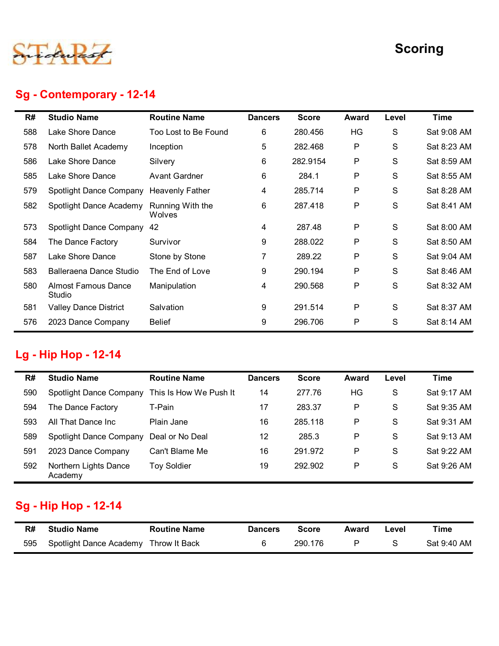

# Sg - Contemporary - 12-14

|     |                                      |                            |                |              |              |               | <b>Scoring</b> |
|-----|--------------------------------------|----------------------------|----------------|--------------|--------------|---------------|----------------|
|     | Sg - Contemporary - 12-14            |                            |                |              |              |               |                |
| R#  | <b>Studio Name</b>                   | <b>Routine Name</b>        | <b>Dancers</b> | <b>Score</b> | <b>Award</b> | Level         | <b>Time</b>    |
| 588 | Lake Shore Dance                     | Too Lost to Be Found       | 6              | 280.456      | HG           | S             | Sat 9:08 AM    |
| 578 | North Ballet Academy                 | Inception                  | 5              | 282.468      | P            | S             | Sat 8:23 AM    |
| 586 | Lake Shore Dance                     | Silvery                    | 6              | 282.9154     | P            | S             | Sat 8:59 AM    |
| 585 | Lake Shore Dance                     | <b>Avant Gardner</b>       | 6              | 284.1        | P            | S             | Sat 8:55 AM    |
| 579 | Spotlight Dance Company              | <b>Heavenly Father</b>     | 4              | 285.714      | P            | S             | Sat 8:28 AM    |
| 582 | Spotlight Dance Academy              | Running With the<br>Wolves | 6              | 287.418      | P            | S             | Sat 8:41 AM    |
| 573 | Spotlight Dance Company 42           |                            | 4              | 287.48       | P            | S             | Sat 8:00 AM    |
| 584 | The Dance Factory                    | Survivor                   | 9              | 288.022      | P            | S             | Sat 8:50 AM    |
| 587 | Lake Shore Dance                     | Stone by Stone             |                | 289.22       | P            | S             | Sat 9:04 AM    |
| 583 | Balleraena Dance Studio              | The End of Love            | 9              | 290.194      | P            | S             | Sat 8:46 AM    |
| 580 | <b>Almost Famous Dance</b><br>Studio | Manipulation               | 4              | 290.568      | ${\sf P}$    | S             | Sat 8:32 AM    |
| 581 | <b>Valley Dance District</b>         | Salvation                  | 9              | 291.514      | P            | S             | Sat 8:37 AM    |
| 576 | 2023 Dance Company                   | <b>Belief</b>              | 9              | 296.706      | P            | ${\mathsf S}$ | Sat 8:14 AM    |

# Lg - Hip Hop - 12-14

| 573 | Spotlight Dance Company 42                        |                        | 4              | 287.48       | P            | S             | Sat 8:00 AM |
|-----|---------------------------------------------------|------------------------|----------------|--------------|--------------|---------------|-------------|
| 584 | The Dance Factory                                 | Survivor               | 9              | 288.022      | P            | S             | Sat 8:50 AM |
| 587 | Lake Shore Dance                                  | Stone by Stone         | 7              | 289.22       | P            | S             | Sat 9:04 AM |
| 583 | Balleraena Dance Studio                           | The End of Love        | 9              | 290.194      | P            | S             | Sat 8:46 AM |
| 580 | <b>Almost Famous Dance</b><br>Studio              | Manipulation           | 4              | 290.568      | P            | S             | Sat 8:32 AM |
| 581 | <b>Valley Dance District</b>                      | Salvation              | 9              | 291.514      | P            | ${\mathsf S}$ | Sat 8:37 AM |
| 576 | 2023 Dance Company                                | <b>Belief</b>          | 9              | 296.706      | P            | S             | Sat 8:14 AM |
| R#  | Lg - Hip Hop - 12-14<br><b>Studio Name</b>        | <b>Routine Name</b>    | <b>Dancers</b> | <b>Score</b> | <b>Award</b> | Level         | <b>Time</b> |
| 590 | Spotlight Dance Company                           | This Is How We Push It | 14             | 277.76       | HG           | S             | Sat 9:17 AM |
| 594 | The Dance Factory                                 | T-Pain                 | 17             | 283.37       | P            | S             | Sat 9:35 AM |
| 593 | All That Dance Inc                                | Plain Jane             | 16             | 285.118      | P            | S             | Sat 9:31 AM |
| 589 | Spotlight Dance Company                           | Deal or No Deal        | 12             | 285.3        | P            | S             | Sat 9:13 AM |
| 591 | 2023 Dance Company                                | Can't Blame Me         | 16             | 291.972      | P            | S             | Sat 9:22 AM |
| 592 | Northern Lights Dance<br>Academy                  | <b>Toy Soldier</b>     | 19             | 292.902      | P            | $\mathsf{S}$  | Sat 9:26 AM |
| R#  | <b>Sg - Hip Hop - 12-14</b><br><b>Studio Name</b> | <b>Routine Name</b>    | <b>Dancers</b> | <b>Score</b> | <b>Award</b> | Level         | <b>Time</b> |
|     |                                                   |                        | 6              | 290.176      | $\mathsf{P}$ | S             | Sat 9:40 AM |

# Sg - Hip Hop - 12-14

| R#  | <b>Studio Name</b>                    | <b>Routine Name</b> | <b>Dancers</b> | <b>Score</b> | Award | Level | Time        |
|-----|---------------------------------------|---------------------|----------------|--------------|-------|-------|-------------|
| 595 | Spotlight Dance Academy Throw It Back |                     |                | 290.176      |       |       | Sat 9:40 AM |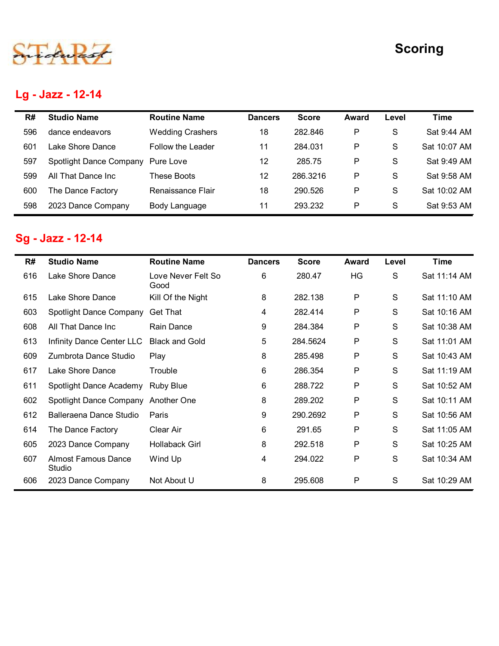# Lg - Jazz - 12-14

|            |                                               |                                 |                |                   |              |               | <b>Scoring</b>             |
|------------|-----------------------------------------------|---------------------------------|----------------|-------------------|--------------|---------------|----------------------------|
|            |                                               |                                 |                |                   |              |               |                            |
|            | Lg - Jazz - 12-14                             |                                 |                |                   |              |               |                            |
|            |                                               |                                 |                |                   |              |               |                            |
| R#         | <b>Studio Name</b>                            | <b>Routine Name</b>             | <b>Dancers</b> | <b>Score</b>      | <b>Award</b> | Level         | <b>Time</b>                |
| 596        | dance endeavors                               | <b>Wedding Crashers</b>         | 18             | 282.846           | P            | $\mathsf{S}$  | Sat 9:44 AM                |
| 601        | Lake Shore Dance                              | Follow the Leader               | 11<br>12       | 284.031<br>285.75 | P<br>P       | S             | Sat 10:07 AM               |
| 597<br>599 | Spotlight Dance Company<br>All That Dance Inc | Pure Love<br><b>These Boots</b> | 12             | 286.3216          | P            | S<br>S        | Sat 9:49 AM<br>Sat 9:58 AM |
| 600        | The Dance Factory                             | Renaissance Flair               | 18             | 290.526           | P            | S             | Sat 10:02 AM               |
| 598        | 2023 Dance Company                            | Body Language                   | 11             | 293.232           | P            | S             | Sat 9:53 AM                |
|            |                                               |                                 |                |                   |              |               |                            |
|            | <b>Sg - Jazz - 12-14</b>                      |                                 |                |                   |              |               |                            |
|            |                                               |                                 |                |                   |              |               |                            |
| R#         | <b>Studio Name</b>                            | <b>Routine Name</b>             | <b>Dancers</b> | <b>Score</b>      | <b>Award</b> | Level         | <b>Time</b>                |
| 616        | Lake Shore Dance                              | Love Never Felt So<br>Good      | 6              | 280.47            | HG           | ${\mathsf S}$ | Sat 11:14 AM               |
| 615        | Lake Shore Dance                              | Kill Of the Night               | 8              | 282.138           | P            | ${\mathsf S}$ | Sat 11:10 AM               |
| 603        | Spotlight Dance Company                       | <b>Get That</b>                 | 4              | 282.414           | P            | ${\mathsf S}$ | Sat 10:16 AM               |
| 608        | All That Dance Inc                            | Rain Dance                      | 9              | 284.384           | P            | S             | Sat 10:38 AM               |
| 613        | Infinity Dance Center LLC                     | <b>Black and Gold</b>           | 5              | 284.5624          | P            | S             | Sat 11:01 AM               |
|            |                                               |                                 |                |                   |              |               |                            |

# Sg - Jazz - 12-14

|     | <b>Studio Name</b>                      | <b>Routine Name</b>        | <b>Dancers</b> | <b>Score</b> |              |               | <b>Time</b>  |
|-----|-----------------------------------------|----------------------------|----------------|--------------|--------------|---------------|--------------|
| R#  |                                         |                            |                |              | <b>Award</b> | Level         |              |
| 596 | dance endeavors                         | <b>Wedding Crashers</b>    | 18             | 282.846      | P            | S             | Sat 9:44 AM  |
| 601 | Lake Shore Dance                        | Follow the Leader          | 11             | 284.031      | P            | ${\mathsf S}$ | Sat 10:07 AM |
| 597 | Spotlight Dance Company                 | Pure Love                  | 12             | 285.75       | P            | ${\mathsf S}$ | Sat 9:49 AM  |
| 599 | All That Dance Inc                      | <b>These Boots</b>         | 12             | 286.3216     | P            | ${\mathsf S}$ | Sat 9:58 AM  |
| 600 | The Dance Factory                       | Renaissance Flair          | 18             | 290.526      | P            | S             | Sat 10:02 AM |
| 598 | 2023 Dance Company                      | Body Language              | 11             | 293.232      | P            | S             | Sat 9:53 AM  |
| R#  | Sg - Jazz - 12-14<br><b>Studio Name</b> | <b>Routine Name</b>        | <b>Dancers</b> | <b>Score</b> | <b>Award</b> | Level         | <b>Time</b>  |
| 616 | Lake Shore Dance                        | Love Never Felt So<br>Good | 6              | 280.47       | HG           | S             | Sat 11:14 AM |
| 615 | Lake Shore Dance                        | Kill Of the Night          | 8              | 282.138      | P            | S             | Sat 11:10 AM |
| 603 | Spotlight Dance Company                 | <b>Get That</b>            | 4              | 282.414      | P            | S             | Sat 10:16 AM |
| 608 | All That Dance Inc                      | Rain Dance                 | 9              | 284.384      | P            | S             | Sat 10:38 AM |
| 613 | Infinity Dance Center LLC               | <b>Black and Gold</b>      | 5              | 284.5624     | P            | S             | Sat 11:01 AM |
| 609 | Zumbrota Dance Studio                   | Play                       | 8              | 285.498      | P            | S             | Sat 10:43 AM |
| 617 | Lake Shore Dance                        | Trouble                    | 6              | 286.354      | P            | S             | Sat 11:19 AM |
| 611 | Spotlight Dance Academy                 | <b>Ruby Blue</b>           | 6              | 288.722      | P            | S             | Sat 10:52 AM |
| 602 | Spotlight Dance Company                 | Another One                | 8              | 289.202      | P            | S             | Sat 10:11 AM |
| 612 | Balleraena Dance Studio                 | Paris                      | 9              | 290.2692     | P            | S             | Sat 10:56 AM |
| 614 | The Dance Factory                       | Clear Air                  | 6              | 291.65       | P            | S             | Sat 11:05 AM |
| 605 | 2023 Dance Company                      | <b>Hollaback Girl</b>      | 8              | 292.518      | P            | S             | Sat 10:25 AM |
|     | <b>Almost Famous Dance</b><br>Studio    | Wind Up                    | 4              | 294.022      | P            | S             | Sat 10:34 AM |
| 607 |                                         |                            | 8              | 295.608      | P            | S             | Sat 10:29 AM |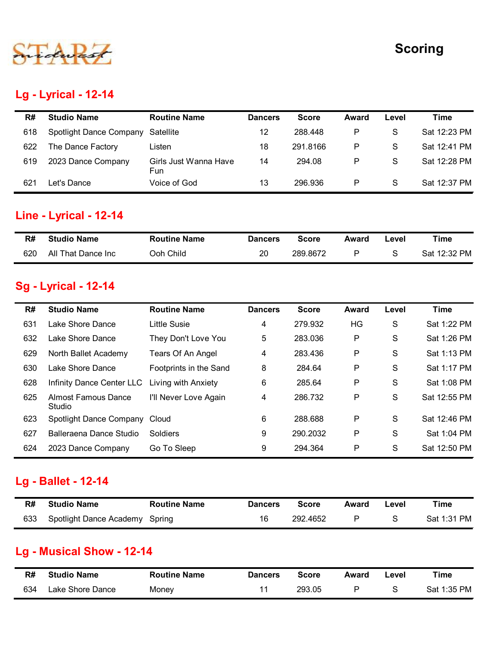

#### Lg - Lyrical - 12-14

| <b>Scoring</b><br><b>Lg - Lyrical - 12-14</b><br><b>Studio Name</b><br><b>Routine Name</b><br><b>Time</b><br>R#<br><b>Score</b><br><b>Dancers</b><br>Award<br>Level<br><b>Spotlight Dance Company</b><br>288.448<br>P<br>S<br>Satellite<br>12<br>618<br>The Dance Factory<br>291.8166<br>P<br>S<br>622<br>18<br>Listen<br>$\mathsf{P}$<br>${\mathsf S}$<br>2023 Dance Company<br>Girls Just Wanna Have<br>619<br>14<br>294.08<br>Fun<br>$\mathsf P$<br>${\mathsf S}$<br>Let's Dance<br>Voice of God<br>296.936<br>621<br>13<br>Line - Lyrical - 12-14<br><b>Time</b><br><b>Studio Name</b><br><b>Routine Name</b><br><b>Score</b><br>R#<br><b>Dancers</b><br><b>Award</b><br>Level<br>All That Dance Inc<br>Ooh Child<br>P<br>S<br>20<br>289.8672<br>620<br><b>Sg - Lyrical - 12-14</b><br><b>Studio Name</b><br><b>Routine Name</b><br><b>Time</b><br><b>Score</b><br>R#<br><b>Dancers</b><br>Award<br>Level<br>Lake Shore Dance<br>Little Susie<br>${\mathsf S}$<br>279.932<br>HG<br>631<br>4<br>They Don't Love You<br>Lake Shore Dance<br>283.036<br>P<br>S<br>632<br>5<br>Tears Of An Angel<br>${\sf P}$<br>North Ballet Academy<br>283.436<br>S<br>629<br>4<br>Lake Shore Dance<br>Footprints in the Sand<br>${\sf P}$<br>284.64<br>S<br>630<br>8 |  |  |  |              |
|---------------------------------------------------------------------------------------------------------------------------------------------------------------------------------------------------------------------------------------------------------------------------------------------------------------------------------------------------------------------------------------------------------------------------------------------------------------------------------------------------------------------------------------------------------------------------------------------------------------------------------------------------------------------------------------------------------------------------------------------------------------------------------------------------------------------------------------------------------------------------------------------------------------------------------------------------------------------------------------------------------------------------------------------------------------------------------------------------------------------------------------------------------------------------------------------------------------------------------------------------------|--|--|--|--------------|
|                                                                                                                                                                                                                                                                                                                                                                                                                                                                                                                                                                                                                                                                                                                                                                                                                                                                                                                                                                                                                                                                                                                                                                                                                                                         |  |  |  |              |
|                                                                                                                                                                                                                                                                                                                                                                                                                                                                                                                                                                                                                                                                                                                                                                                                                                                                                                                                                                                                                                                                                                                                                                                                                                                         |  |  |  |              |
|                                                                                                                                                                                                                                                                                                                                                                                                                                                                                                                                                                                                                                                                                                                                                                                                                                                                                                                                                                                                                                                                                                                                                                                                                                                         |  |  |  |              |
|                                                                                                                                                                                                                                                                                                                                                                                                                                                                                                                                                                                                                                                                                                                                                                                                                                                                                                                                                                                                                                                                                                                                                                                                                                                         |  |  |  |              |
|                                                                                                                                                                                                                                                                                                                                                                                                                                                                                                                                                                                                                                                                                                                                                                                                                                                                                                                                                                                                                                                                                                                                                                                                                                                         |  |  |  |              |
|                                                                                                                                                                                                                                                                                                                                                                                                                                                                                                                                                                                                                                                                                                                                                                                                                                                                                                                                                                                                                                                                                                                                                                                                                                                         |  |  |  |              |
|                                                                                                                                                                                                                                                                                                                                                                                                                                                                                                                                                                                                                                                                                                                                                                                                                                                                                                                                                                                                                                                                                                                                                                                                                                                         |  |  |  |              |
|                                                                                                                                                                                                                                                                                                                                                                                                                                                                                                                                                                                                                                                                                                                                                                                                                                                                                                                                                                                                                                                                                                                                                                                                                                                         |  |  |  |              |
|                                                                                                                                                                                                                                                                                                                                                                                                                                                                                                                                                                                                                                                                                                                                                                                                                                                                                                                                                                                                                                                                                                                                                                                                                                                         |  |  |  |              |
|                                                                                                                                                                                                                                                                                                                                                                                                                                                                                                                                                                                                                                                                                                                                                                                                                                                                                                                                                                                                                                                                                                                                                                                                                                                         |  |  |  |              |
|                                                                                                                                                                                                                                                                                                                                                                                                                                                                                                                                                                                                                                                                                                                                                                                                                                                                                                                                                                                                                                                                                                                                                                                                                                                         |  |  |  |              |
|                                                                                                                                                                                                                                                                                                                                                                                                                                                                                                                                                                                                                                                                                                                                                                                                                                                                                                                                                                                                                                                                                                                                                                                                                                                         |  |  |  | Sat 12:23 PM |
|                                                                                                                                                                                                                                                                                                                                                                                                                                                                                                                                                                                                                                                                                                                                                                                                                                                                                                                                                                                                                                                                                                                                                                                                                                                         |  |  |  | Sat 12:41 PM |
|                                                                                                                                                                                                                                                                                                                                                                                                                                                                                                                                                                                                                                                                                                                                                                                                                                                                                                                                                                                                                                                                                                                                                                                                                                                         |  |  |  | Sat 12:28 PM |
|                                                                                                                                                                                                                                                                                                                                                                                                                                                                                                                                                                                                                                                                                                                                                                                                                                                                                                                                                                                                                                                                                                                                                                                                                                                         |  |  |  | Sat 12:37 PM |
|                                                                                                                                                                                                                                                                                                                                                                                                                                                                                                                                                                                                                                                                                                                                                                                                                                                                                                                                                                                                                                                                                                                                                                                                                                                         |  |  |  |              |
|                                                                                                                                                                                                                                                                                                                                                                                                                                                                                                                                                                                                                                                                                                                                                                                                                                                                                                                                                                                                                                                                                                                                                                                                                                                         |  |  |  |              |
|                                                                                                                                                                                                                                                                                                                                                                                                                                                                                                                                                                                                                                                                                                                                                                                                                                                                                                                                                                                                                                                                                                                                                                                                                                                         |  |  |  | Sat 12:32 PM |
|                                                                                                                                                                                                                                                                                                                                                                                                                                                                                                                                                                                                                                                                                                                                                                                                                                                                                                                                                                                                                                                                                                                                                                                                                                                         |  |  |  |              |
|                                                                                                                                                                                                                                                                                                                                                                                                                                                                                                                                                                                                                                                                                                                                                                                                                                                                                                                                                                                                                                                                                                                                                                                                                                                         |  |  |  |              |
|                                                                                                                                                                                                                                                                                                                                                                                                                                                                                                                                                                                                                                                                                                                                                                                                                                                                                                                                                                                                                                                                                                                                                                                                                                                         |  |  |  |              |
|                                                                                                                                                                                                                                                                                                                                                                                                                                                                                                                                                                                                                                                                                                                                                                                                                                                                                                                                                                                                                                                                                                                                                                                                                                                         |  |  |  | Sat 1:22 PM  |
|                                                                                                                                                                                                                                                                                                                                                                                                                                                                                                                                                                                                                                                                                                                                                                                                                                                                                                                                                                                                                                                                                                                                                                                                                                                         |  |  |  | Sat 1:26 PM  |
|                                                                                                                                                                                                                                                                                                                                                                                                                                                                                                                                                                                                                                                                                                                                                                                                                                                                                                                                                                                                                                                                                                                                                                                                                                                         |  |  |  | Sat 1:13 PM  |
|                                                                                                                                                                                                                                                                                                                                                                                                                                                                                                                                                                                                                                                                                                                                                                                                                                                                                                                                                                                                                                                                                                                                                                                                                                                         |  |  |  | Sat 1:17 PM  |

#### Line - Lyrical - 12-14

| R#  | <b>Studio Name</b> | <b>Routine Name</b> | <b>Dancers</b> | <b>Score</b> | Award | .evel | Time         |
|-----|--------------------|---------------------|----------------|--------------|-------|-------|--------------|
| 620 | All That Dance Inc | <b>Ooh Child</b>    | 20             | 289.8672     |       |       | Sat 12:32 PM |

#### Sg - Lyrical - 12-14

| 618 | Spotlight Dance Company              | Satellite                    | 12             | 288.448      | P            | S             | Sat 12:23 PM |
|-----|--------------------------------------|------------------------------|----------------|--------------|--------------|---------------|--------------|
| 622 | The Dance Factory                    | Listen                       | 18             | 291.8166     | P            | S             | Sat 12:41 PM |
| 619 | 2023 Dance Company                   | Girls Just Wanna Have<br>Fun | 14             | 294.08       | P            | S             | Sat 12:28 PM |
| 621 | Let's Dance                          | Voice of God                 | 13             | 296.936      | P            | S             | Sat 12:37 PM |
|     |                                      |                              |                |              |              |               |              |
|     | Line - Lyrical - 12-14               |                              |                |              |              |               |              |
| R#  | <b>Studio Name</b>                   | <b>Routine Name</b>          | <b>Dancers</b> | <b>Score</b> | <b>Award</b> | Level         | <b>Time</b>  |
| 620 | All That Dance Inc                   | Ooh Child                    | 20             | 289.8672     | P            | ${\mathsf S}$ | Sat 12:32 PM |
|     | <b>Sg - Lyrical - 12-14</b>          |                              |                |              |              |               |              |
| R#  | <b>Studio Name</b>                   | <b>Routine Name</b>          | <b>Dancers</b> | <b>Score</b> | <b>Award</b> | Level         | <b>Time</b>  |
| 631 | Lake Shore Dance                     | <b>Little Susie</b>          | 4              | 279.932      | HG           | S             | Sat 1:22 PM  |
| 632 | Lake Shore Dance                     | They Don't Love You          | 5              | 283.036      | P            | S             | Sat 1:26 PM  |
| 629 | North Ballet Academy                 | Tears Of An Angel            | 4              | 283.436      | P            | S             | Sat 1:13 PM  |
| 630 | Lake Shore Dance                     | Footprints in the Sand       | 8              | 284.64       | P            | S             | Sat 1:17 PM  |
| 628 | Infinity Dance Center LLC            | Living with Anxiety          | 6              | 285.64       | P            | S             | Sat 1:08 PM  |
| 625 | <b>Almost Famous Dance</b><br>Studio | I'll Never Love Again        | 4              | 286.732      | P            | S             | Sat 12:55 PM |
| 623 | Spotlight Dance Company              | Cloud                        | 6              | 288.688      | P            | S             | Sat 12:46 PM |
| 627 | Balleraena Dance Studio              | Soldiers                     | 9              | 290.2032     | P            | S             | Sat 1:04 PM  |
| 624 | 2023 Dance Company                   | Go To Sleep                  | 9              | 294.364      | P            | S             | Sat 12:50 PM |
|     | Lg - Ballet - 12-14                  |                              |                |              |              |               |              |
| R#  | <b>Studio Name</b>                   | <b>Routine Name</b>          | <b>Dancers</b> | <b>Score</b> | <b>Award</b> | Level         | <b>Time</b>  |
| 633 | Spotlight Dance Academy Spring       |                              | 16             | 292.4652     | P            | S             | Sat 1:31 PM  |
|     | <b>Lg - Musical Show - 12-14</b>     |                              |                |              |              |               |              |
| R#  | <b>Studio Name</b>                   | <b>Routine Name</b>          | <b>Dancers</b> | <b>Score</b> | <b>Award</b> | Level         | <b>Time</b>  |
|     | Lake Shore Dance                     | Money                        | 11             | 293.05       | P            | S             | Sat 1:35 PM  |

#### Lg - Ballet - 12-14

| R#  | <b>Studio Name</b>             | <b>Routine Name</b> | <b>Dancers</b> | <b>Score</b> | Award | ∟evel | Time        |
|-----|--------------------------------|---------------------|----------------|--------------|-------|-------|-------------|
| 633 | Spotlight Dance Academy Spring |                     | 16             | 292.4652     | D     |       | Sat 1:31 PM |

#### Lg - Musical Show - 12-14

| R#  | <b>Studio Name</b> | <b>Routine Name</b> | <b>Dancers</b> | <b>Score</b> | Award | Level | Time        |
|-----|--------------------|---------------------|----------------|--------------|-------|-------|-------------|
| 634 | Lake Shore Dance   | Money               |                | 293.05       |       |       | Sat 1:35 PM |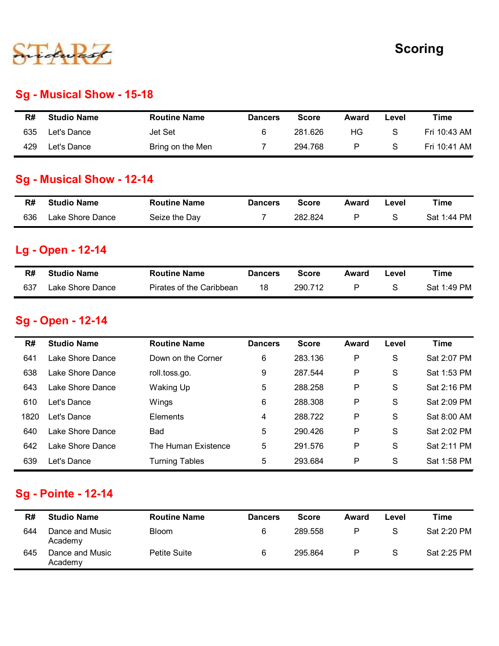

#### Sg - Musical Show - 15-18

|     |                           |                     |                |              |              |               | <b>Scoring</b> |
|-----|---------------------------|---------------------|----------------|--------------|--------------|---------------|----------------|
|     |                           |                     |                |              |              |               |                |
|     |                           |                     |                |              |              |               |                |
|     | Sg - Musical Show - 15-18 |                     |                |              |              |               |                |
| R#  | <b>Studio Name</b>        | <b>Routine Name</b> | <b>Dancers</b> | <b>Score</b> | Award        | Level         | <b>Time</b>    |
| 635 | Let's Dance               | Jet Set             | $\,6$          | 281.626      | HG           | S             | Fri 10:43 AM   |
|     | Let's Dance               | Bring on the Men    | $\overline{7}$ | 294.768      | $\sf P$      | S             |                |
| 429 |                           |                     |                |              |              |               | Fri 10:41 AM   |
|     | Sg - Musical Show - 12-14 |                     |                |              |              |               |                |
| R#  | <b>Studio Name</b>        | <b>Routine Name</b> | <b>Dancers</b> | <b>Score</b> | <b>Award</b> | Level         | <b>Time</b>    |
| 636 | Lake Shore Dance          | Seize the Day       | $\overline{7}$ | 282.824      | $\mathsf{P}$ | ${\mathsf S}$ | Sat 1:44 PM    |
|     | Lg - Open - 12-14         |                     |                |              |              |               |                |
| R#  | <b>Studio Name</b>        | <b>Routine Name</b> | <b>Dancers</b> | <b>Score</b> | <b>Award</b> | Level         | Time           |

#### Sg - Musical Show - 12-14

| R#  | <b>Studio Name</b> | <b>Routine Name</b> | <b>Dancers</b> | <b>Score</b> | Award | -evel | Time        |
|-----|--------------------|---------------------|----------------|--------------|-------|-------|-------------|
| 636 | Lake Shore Dance   | Seize the Day       |                | 282.824      | D     |       | Sat 1:44 PM |

#### Lg - Open - 12-14

| R#  | <b>Studio Name</b> | <b>Routine Name</b>      | <b>Dancers</b> | <b>Score</b> | Award | ∟evel | Time        |
|-----|--------------------|--------------------------|----------------|--------------|-------|-------|-------------|
| 637 | Lake Shore Dance   | Pirates of the Caribbean |                | 290.712      |       |       | Sat 1:49 PM |

#### Sg - Open - 12-14

| 635         | Let's Dance                                    | Jet Set                  | 6              | 281.626            | HG           | S             | Fri 10:43 AM               |
|-------------|------------------------------------------------|--------------------------|----------------|--------------------|--------------|---------------|----------------------------|
| 429         | Let's Dance                                    | Bring on the Men         | 7              | 294.768            | P            | S             | Fri 10:41 AM               |
|             | <b>Sg - Musical Show - 12-14</b>               |                          |                |                    |              |               |                            |
| R#          | <b>Studio Name</b>                             | <b>Routine Name</b>      | <b>Dancers</b> | <b>Score</b>       | <b>Award</b> | Level         | <b>Time</b>                |
| 636         | Lake Shore Dance                               | Seize the Day            | $\overline{7}$ | 282.824            | P            | S             | Sat 1:44 PM                |
|             | <b>Lg - Open - 12-14</b>                       |                          |                |                    |              |               |                            |
| R#          | <b>Studio Name</b>                             | <b>Routine Name</b>      | <b>Dancers</b> | <b>Score</b>       | <b>Award</b> | Level         | <b>Time</b>                |
| 637         | Lake Shore Dance                               | Pirates of the Caribbean | 18             | 290.712            | P            | ${\mathsf S}$ | Sat 1:49 PM                |
| R#          | <b>Sg - Open - 12-14</b><br><b>Studio Name</b> | <b>Routine Name</b>      | <b>Dancers</b> | <b>Score</b>       | <b>Award</b> | Level         | <b>Time</b>                |
| 641         | Lake Shore Dance                               | Down on the Corner       |                | 283.136            | P            | S             | Sat 2:07 PM                |
|             |                                                |                          | 6              |                    |              |               |                            |
| 638         | Lake Shore Dance                               | roll.toss.go.            | 9              | 287.544            | P            | S             | Sat 1:53 PM                |
| 643         | Lake Shore Dance<br>Let's Dance                | Waking Up                | 5              | 288.258<br>288.308 | P            | S             | Sat 2:16 PM<br>Sat 2:09 PM |
| 610<br>1820 | Let's Dance                                    | Wings<br>Elements        | 6              | 288.722            | P<br>P       | S<br>S        | Sat 8:00 AM                |
| 640         | Lake Shore Dance                               | Bad                      | 4<br>5         | 290.426            | P            | S             | Sat 2:02 PM                |
| 642         | Lake Shore Dance                               | The Human Existence      | 5              | 291.576            | P            | S             | Sat 2:11 PM                |
| 639         | Let's Dance                                    | <b>Turning Tables</b>    | 5              | 293.684            | P            | S             | Sat 1:58 PM                |
|             |                                                |                          |                |                    |              |               |                            |
|             | Sg - Pointe - 12-14                            |                          |                |                    |              |               |                            |
|             | <b>Studio Name</b>                             | <b>Routine Name</b>      | <b>Dancers</b> | <b>Score</b>       | <b>Award</b> | Level         | <b>Time</b>                |
| R#          |                                                | <b>Bloom</b>             | 6              | 289.558            | $\mathsf P$  | ${\mathsf S}$ | Sat 2:20 PM                |
| 644         | Dance and Music<br>Academy                     |                          |                |                    |              |               |                            |

#### Sg - Pointe - 12-14

| R#  | <b>Studio Name</b>         | <b>Routine Name</b> | <b>Dancers</b> | <b>Score</b> | Award | Level | Time        |
|-----|----------------------------|---------------------|----------------|--------------|-------|-------|-------------|
| 644 | Dance and Music<br>Academy | <b>Bloom</b>        | 6              | 289.558      | P     | S     | Sat 2:20 PM |
| 645 | Dance and Music<br>Academy | Petite Suite        | 6              | 295.864      | P     | S     | Sat 2:25 PM |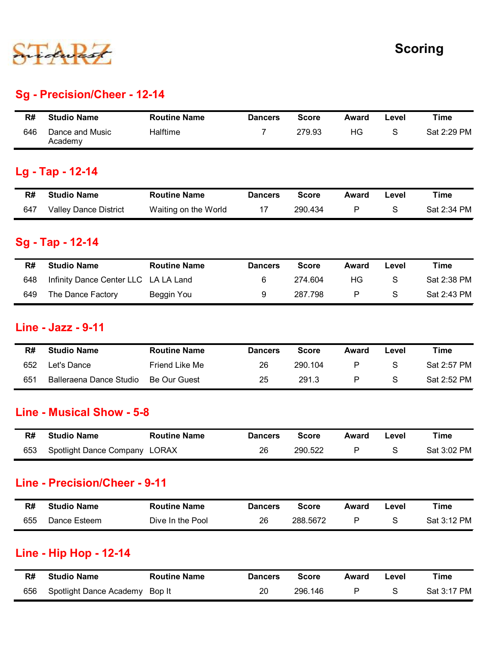

#### Sg - Precision/Cheer - 12-14

|     |                              |                     |                |              | <b>Scoring</b> |               |             |  |  |
|-----|------------------------------|---------------------|----------------|--------------|----------------|---------------|-------------|--|--|
|     |                              |                     |                |              |                |               |             |  |  |
|     |                              |                     |                |              |                |               |             |  |  |
|     | Sg - Precision/Cheer - 12-14 |                     |                |              |                |               |             |  |  |
|     |                              |                     |                |              |                |               |             |  |  |
| R#  | <b>Studio Name</b>           | <b>Routine Name</b> | <b>Dancers</b> | <b>Score</b> | Award          | Level         | <b>Time</b> |  |  |
| 646 | Dance and Music<br>Academy   | Halftime            | $\overline{7}$ | 279.93       | HG             | ${\mathsf S}$ | Sat 2:29 PM |  |  |
|     | Lg - Tap - 12-14             |                     |                |              |                |               |             |  |  |
| R#  | <b>Studio Name</b>           | <b>Routine Name</b> | <b>Dancers</b> | <b>Score</b> | Award          | Level         | <b>Time</b> |  |  |

#### Lg - Tap - 12-14

| R#  | <b>Studio Name</b>    | <b>Routine Name</b>  | <b>Dancers</b> | <b>Score</b> | Award | Level | Time        |
|-----|-----------------------|----------------------|----------------|--------------|-------|-------|-------------|
| 647 | Valley Dance District | Waiting on the World |                | 290.434      |       |       | Sat 2:34 PM |

#### Sg - Tap - 12-14

#### Line - Jazz - 9-11

| R#  | <b>Studio Name</b>            | <b>Routine Name</b>  | <b>Dancers</b> | <b>Score</b> | Award        | Level         | <b>Time</b> |
|-----|-------------------------------|----------------------|----------------|--------------|--------------|---------------|-------------|
| 647 | <b>Valley Dance District</b>  | Waiting on the World | 17             | 290.434      | P            | S             | Sat 2:34 PM |
|     | Sg - Tap - 12-14              |                      |                |              |              |               |             |
| R#  | <b>Studio Name</b>            | <b>Routine Name</b>  | <b>Dancers</b> | <b>Score</b> | <b>Award</b> | Level         | <b>Time</b> |
| 648 | Infinity Dance Center LLC     | LA LA Land           | 6              | 274.604      | HG           | ${\mathsf S}$ | Sat 2:38 PM |
| 649 | The Dance Factory             | Beggin You           | 9              | 287.798      | ${\sf P}$    | ${\mathsf S}$ | Sat 2:43 PM |
|     | <b>Line - Jazz - 9-11</b>     |                      |                |              |              |               |             |
| R#  | <b>Studio Name</b>            | <b>Routine Name</b>  | <b>Dancers</b> | <b>Score</b> | Award        | Level         | <b>Time</b> |
| 652 | Let's Dance                   | Friend Like Me       | 26             | 290.104      | P            | S             | Sat 2:57 PM |
| 651 | Balleraena Dance Studio       | Be Our Guest         | 25             | 291.3        | ${\sf P}$    | S             | Sat 2:52 PM |
|     | Line - Musical Show - 5-8     |                      |                |              |              |               |             |
| R#  | <b>Studio Name</b>            | <b>Routine Name</b>  | <b>Dancers</b> | <b>Score</b> | Award        | Level         | <b>Time</b> |
| 653 | Spotlight Dance Company LORAX |                      | 26             | 290.522      | ${\sf P}$    | ${\mathsf S}$ | Sat 3:02 PM |
|     | Line - Precision/Cheer - 9-11 |                      |                |              |              |               |             |
| R#  | <b>Studio Name</b>            | <b>Routine Name</b>  | <b>Dancers</b> | <b>Score</b> | <b>Award</b> | Level         | Time        |
| 655 | Dance Esteem                  | Dive In the Pool     | 26             | 288.5672     | P            | ${\mathsf S}$ | Sat 3:12 PM |

#### Line - Musical Show - 5-8

| R#  | <b>Studio Name</b>            | <b>Routine Name</b> | <b>Dancers</b> | Score   | Award | ∟evel | Time        |
|-----|-------------------------------|---------------------|----------------|---------|-------|-------|-------------|
| 653 | Spotlight Dance Company LORAX |                     | 26             | 290.522 |       |       | Sat 3:02 PM |

#### Line - Precision/Cheer - 9-11

| 652 | Let's Dance                   | Friend Like Me      | 26             | 290.104      | P            | S     | Sat 2:57 PM |
|-----|-------------------------------|---------------------|----------------|--------------|--------------|-------|-------------|
| 651 | Balleraena Dance Studio       | Be Our Guest        | 25             | 291.3        | P            | S     | Sat 2:52 PM |
|     | Line - Musical Show - 5-8     |                     |                |              |              |       |             |
| R#  | <b>Studio Name</b>            | <b>Routine Name</b> | <b>Dancers</b> | <b>Score</b> | <b>Award</b> | Level | <b>Time</b> |
| 653 | Spotlight Dance Company LORAX |                     | 26             | 290.522      | P            | S     | Sat 3:02 PM |
|     | Line - Precision/Cheer - 9-11 |                     |                |              |              |       |             |
| R#  | <b>Studio Name</b>            | <b>Routine Name</b> | <b>Dancers</b> | <b>Score</b> | Award        | Level | <b>Time</b> |
| 655 | Dance Esteem                  | Dive In the Pool    | 26             | 288.5672     | P            | S     | Sat 3:12 PM |
|     | <b>Line - Hip Hop - 12-14</b> |                     |                |              |              |       |             |
|     |                               |                     |                |              |              |       |             |
| R#  | <b>Studio Name</b>            | <b>Routine Name</b> | <b>Dancers</b> | <b>Score</b> | <b>Award</b> | Level | <b>Time</b> |

#### Line - Hip Hop - 12-14

| R#  | <b>Studio Name</b>             | <b>Routine Name</b> | <b>Dancers</b> | <b>Score</b> | Award | Level | Time        |
|-----|--------------------------------|---------------------|----------------|--------------|-------|-------|-------------|
| 656 | Spotlight Dance Academy Bop It |                     | 20             | 296.146      |       |       | Sat 3:17 PM |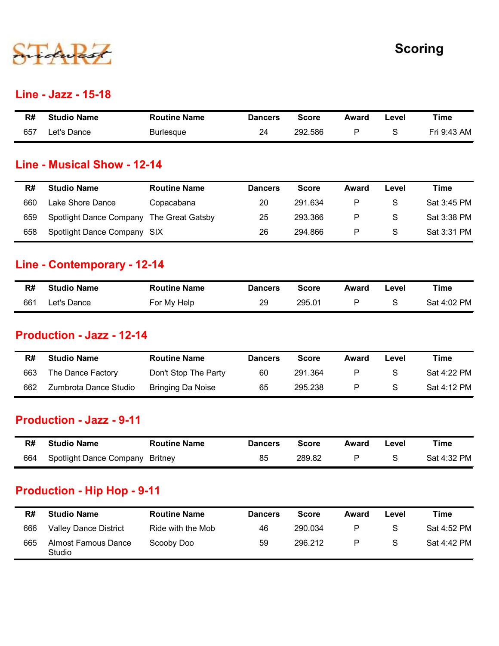

#### Line - Jazz - 15-18

|     |                             |                     |                |              |              |               | <b>Scoring</b> |  |
|-----|-----------------------------|---------------------|----------------|--------------|--------------|---------------|----------------|--|
|     |                             |                     |                |              |              |               |                |  |
|     | <b>Line - Jazz - 15-18</b>  |                     |                |              |              |               |                |  |
| R#  | <b>Studio Name</b>          | <b>Routine Name</b> | <b>Dancers</b> | <b>Score</b> | <b>Award</b> | Level         | <b>Time</b>    |  |
| 657 | Let's Dance                 | <b>Burlesque</b>    | 24             | 292.586      | $\mathsf{P}$ | ${\mathsf S}$ | Fri 9:43 AM    |  |
|     |                             |                     |                |              |              |               |                |  |
|     | Line - Musical Show - 12-14 |                     |                |              |              |               |                |  |
|     |                             |                     |                |              |              |               |                |  |

#### Line - Musical Show - 12-14

|     |                                  |                      |                |              |              |               | <b>Scoring</b> |
|-----|----------------------------------|----------------------|----------------|--------------|--------------|---------------|----------------|
|     | Line - Jazz - 15-18              |                      |                |              |              |               |                |
| R#  | <b>Studio Name</b>               | <b>Routine Name</b>  | <b>Dancers</b> | <b>Score</b> | <b>Award</b> | Level         | <b>Time</b>    |
| 657 | Let's Dance                      | <b>Burlesque</b>     | 24             | 292.586      | $\mathsf{P}$ | ${\mathsf S}$ | Fri 9:43 AM    |
|     | Line - Musical Show - 12-14      |                      |                |              |              |               |                |
| R#  | <b>Studio Name</b>               | <b>Routine Name</b>  | <b>Dancers</b> | <b>Score</b> | <b>Award</b> | Level         | <b>Time</b>    |
| 660 | Lake Shore Dance                 | Copacabana           | 20             | 291.634      | P            | S             | Sat 3:45 PM    |
| 659 | Spotlight Dance Company          | The Great Gatsby     | 25             | 293.366      | P            | S             | Sat 3:38 PM    |
| 658 | Spotlight Dance Company SIX      |                      | 26             | 294.866      | P            | S             | Sat 3:31 PM    |
|     | Line - Contemporary - 12-14      |                      |                |              |              |               |                |
| R#  | <b>Studio Name</b>               | <b>Routine Name</b>  | <b>Dancers</b> | <b>Score</b> | Award        | Level         | <b>Time</b>    |
| 661 | Let's Dance                      | For My Help          | 29             | 295.01       | P            | S             | Sat 4:02 PM    |
|     | <b>Production - Jazz - 12-14</b> |                      |                |              |              |               |                |
| R#  | <b>Studio Name</b>               | <b>Routine Name</b>  | <b>Dancers</b> | <b>Score</b> | <b>Award</b> | Level         | <b>Time</b>    |
|     |                                  |                      |                |              |              | ${\mathsf S}$ | Sat 4:22 PM    |
| 663 | The Dance Factory                | Don't Stop The Party | 60             | 291.364      | $\mathsf{P}$ |               |                |

#### Line - Contemporary - 12-14

| R#  | <b>Studio Name</b> | <b>Routine Name</b> | <b>Dancers</b> | Score  | Award | Level | Time        |
|-----|--------------------|---------------------|----------------|--------|-------|-------|-------------|
| 661 | Let's Dance        | For My Help         | 29             | 295.01 |       |       | Sat 4:02 PM |

#### Production - Jazz - 12-14

| 658 | Spotlight Dance Company SIX      |                                 | 26             | 294.866      | P            | S.    | Sat 3:31 PM |
|-----|----------------------------------|---------------------------------|----------------|--------------|--------------|-------|-------------|
|     | Line - Contemporary - 12-14      |                                 |                |              |              |       |             |
| R#  | <b>Studio Name</b>               | <b>Routine Name</b>             | <b>Dancers</b> | <b>Score</b> | Award        | Level | <b>Time</b> |
| 661 | Let's Dance                      | For My Help                     | 29             | 295.01       | P            | S     | Sat 4:02 PM |
|     | <b>Production - Jazz - 12-14</b> |                                 |                |              |              |       |             |
| R#  | <b>Studio Name</b>               | <b>Routine Name</b>             | <b>Dancers</b> | <b>Score</b> | <b>Award</b> | Level | <b>Time</b> |
| 663 | The Dance Factory                | Don't Stop The Party            | 60             | 291.364      | $\mathsf{P}$ | S     | Sat 4:22 PM |
| 662 | Zumbrota Dance Studio            | <b>Bringing Da Noise</b>        | 65             | 295.238      | $\mathsf{P}$ | S     | Sat 4:12 PM |
|     | <b>Production - Jazz - 9-11</b>  |                                 |                |              |              |       |             |
| R#  | <b>Studio Name</b>               | <b>Routine Name</b>             | <b>Dancers</b> | <b>Score</b> | <b>Award</b> | Level | <b>Time</b> |
|     |                                  | Spotlight Dance Company Britney | 85             | 289.82       | P            | S     | Sat 4:32 PM |

#### Production - Jazz - 9-11

| R#  | <b>Studio Name</b>              | <b>Routine Name</b> | <b>Dancers</b> | <b>Score</b> | Award | Level | Time        |
|-----|---------------------------------|---------------------|----------------|--------------|-------|-------|-------------|
| 664 | Spotlight Dance Company Britney |                     | 85             | 289.82       |       |       | Sat 4:32 PM |

#### Production - Hip Hop - 9-11

| 661 | Let's Dance                                           | For My Help              | 29             | 295.01       | P            | S             | Sat 4:02 PM |
|-----|-------------------------------------------------------|--------------------------|----------------|--------------|--------------|---------------|-------------|
|     | <b>Production - Jazz - 12-14</b>                      |                          |                |              |              |               |             |
| R#  | <b>Studio Name</b>                                    | <b>Routine Name</b>      | <b>Dancers</b> | <b>Score</b> | <b>Award</b> | Level         | <b>Time</b> |
| 663 | The Dance Factory                                     | Don't Stop The Party     | 60             | 291.364      | P            | ${\mathsf S}$ | Sat 4:22 PM |
| 662 | Zumbrota Dance Studio                                 | <b>Bringing Da Noise</b> | 65             | 295.238      | P            | ${\mathsf S}$ | Sat 4:12 PM |
| R#  | <b>Production - Jazz - 9-11</b><br><b>Studio Name</b> | <b>Routine Name</b>      | <b>Dancers</b> | <b>Score</b> | Award        | Level         | <b>Time</b> |
| 664 | Spotlight Dance Company                               | Britney                  | 85             | 289.82       | P            | S             | Sat 4:32 PM |
|     |                                                       |                          |                |              |              |               |             |
|     | <b>Production - Hip Hop - 9-11</b>                    |                          |                |              |              |               |             |
|     | <b>Studio Name</b>                                    | <b>Routine Name</b>      | <b>Dancers</b> | <b>Score</b> | Award        | Level         | <b>Time</b> |
| R#  |                                                       |                          |                |              |              |               |             |
| 666 | <b>Valley Dance District</b>                          | Ride with the Mob        | 46             | 290.034      | P            | S             | Sat 4:52 PM |